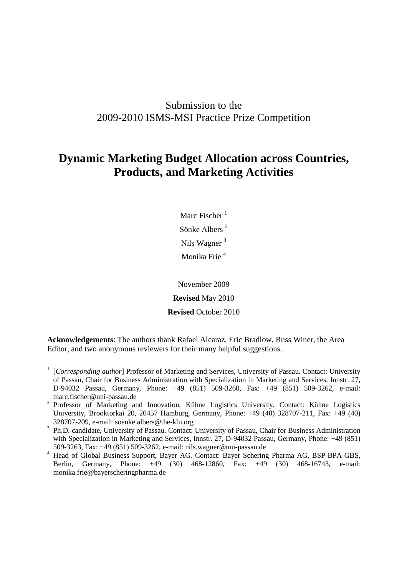## Submission to the 2009-2010 ISMS-MSI Practice Prize Competition

# **Dynamic Marketing Budget Allocation across Countries, Products, and Marketing Activities**

Marc Fischer  $<sup>1</sup>$ </sup> Sönke Albers <sup>2</sup> Nils Wagner <sup>3</sup> Monika Frie <sup>4</sup>

November 2009 **Revised** May 2010 **Revised** October 2010

**Acknowledgements**: The authors thank Rafael Alcaraz, Eric Bradlow, Russ Winer, the Area Editor, and two anonymous reviewers for their many helpful suggestions.

- <sup>1</sup> [*Corresponding author*] Professor of Marketing and Services, University of Passau. Contact: University of Passau, Chair for Business Administration with Specialization in Marketing and Services, Innstr. 27, D-94032 Passau, Germany, Phone: +49 (851) 509-3260, Fax: +49 (851) 509-3262, e-mail: marc.fischer@uni-passau.de
- <sup>2</sup> Professor of Marketing and Innovation, Kühne Logistics University. Contact: Kühne Logistics University, Brooktorkai 20, 20457 Hamburg, Germany, Phone: +49 (40) 328707-211, Fax: +49 (40) 328707-209, e-mail: soenke.albers@the-klu.org
- <sup>3</sup> Ph.D. candidate, University of Passau. Contact: University of Passau, Chair for Business Administration with Specialization in Marketing and Services, Innstr. 27, D-94032 Passau, Germany, Phone: +49 (851) 509-3263, Fax: +49 (851) 509-3262, e-mail: nils.wagner@uni-passau.de
- <sup>4</sup>Head of Global Business Support, Bayer AG. Contact: Bayer Schering Pharma AG, BSP-BPA-GBS, Berlin, Germany, Phone: +49 (30) 468-12860, Fax: +49 (30) 468-16743, e-mail: monika.frie@bayerscheringpharma.de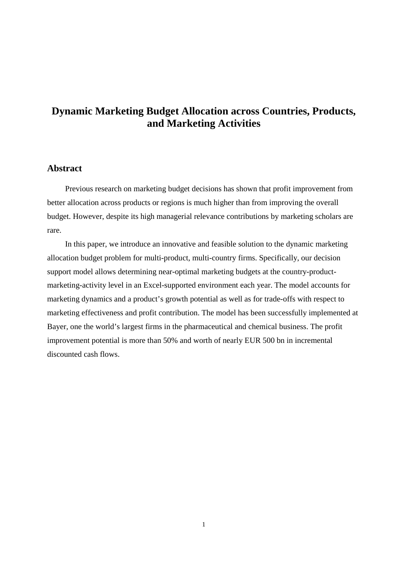## **Dynamic Marketing Budget Allocation across Countries, Products, and Marketing Activities**

## **Abstract**

Previous research on marketing budget decisions has shown that profit improvement from better allocation across products or regions is much higher than from improving the overall budget. However, despite its high managerial relevance contributions by marketing scholars are rare.

In this paper, we introduce an innovative and feasible solution to the dynamic marketing allocation budget problem for multi-product, multi-country firms. Specifically, our decision support model allows determining near-optimal marketing budgets at the country-productmarketing-activity level in an Excel-supported environment each year. The model accounts for marketing dynamics and a product's growth potential as well as for trade-offs with respect to marketing effectiveness and profit contribution. The model has been successfully implemented at Bayer, one the world's largest firms in the pharmaceutical and chemical business. The profit improvement potential is more than 50% and worth of nearly EUR 500 bn in incremental discounted cash flows.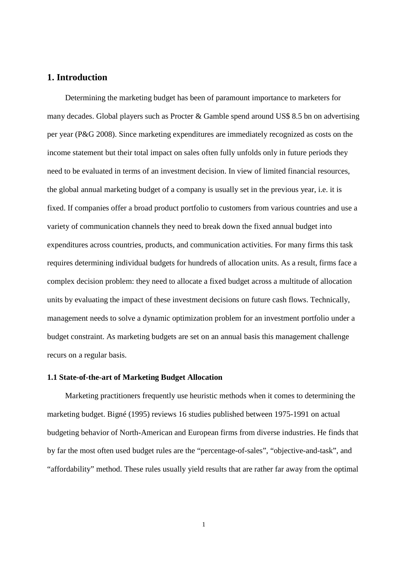## **1. Introduction**

Determining the marketing budget has been of paramount importance to marketers for many decades. Global players such as Procter & Gamble spend around US\$ 8.5 bn on advertising per year (P&G 2008). Since marketing expenditures are immediately recognized as costs on the income statement but their total impact on sales often fully unfolds only in future periods they need to be evaluated in terms of an investment decision. In view of limited financial resources, the global annual marketing budget of a company is usually set in the previous year, i.e. it is fixed. If companies offer a broad product portfolio to customers from various countries and use a variety of communication channels they need to break down the fixed annual budget into expenditures across countries, products, and communication activities. For many firms this task requires determining individual budgets for hundreds of allocation units. As a result, firms face a complex decision problem: they need to allocate a fixed budget across a multitude of allocation units by evaluating the impact of these investment decisions on future cash flows. Technically, management needs to solve a dynamic optimization problem for an investment portfolio under a budget constraint. As marketing budgets are set on an annual basis this management challenge recurs on a regular basis.

#### **1.1 State-of-the-art of Marketing Budget Allocation**

Marketing practitioners frequently use heuristic methods when it comes to determining the marketing budget. Bigné (1995) reviews 16 studies published between 1975-1991 on actual budgeting behavior of North-American and European firms from diverse industries. He finds that by far the most often used budget rules are the "percentage-of-sales", "objective-and-task", and "affordability" method. These rules usually yield results that are rather far away from the optimal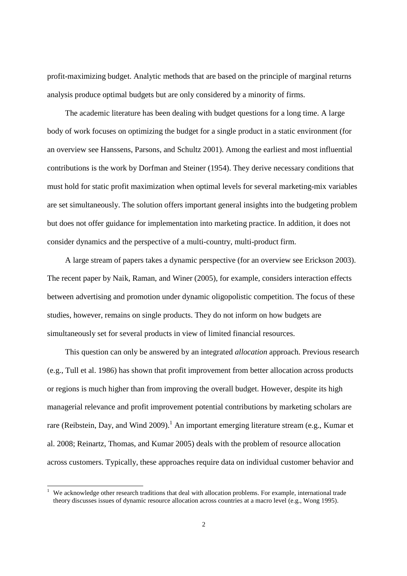profit-maximizing budget. Analytic methods that are based on the principle of marginal returns analysis produce optimal budgets but are only considered by a minority of firms.

The academic literature has been dealing with budget questions for a long time. A large body of work focuses on optimizing the budget for a single product in a static environment (for an overview see Hanssens, Parsons, and Schultz 2001). Among the earliest and most influential contributions is the work by Dorfman and Steiner (1954). They derive necessary conditions that must hold for static profit maximization when optimal levels for several marketing-mix variables are set simultaneously. The solution offers important general insights into the budgeting problem but does not offer guidance for implementation into marketing practice. In addition, it does not consider dynamics and the perspective of a multi-country, multi-product firm.

A large stream of papers takes a dynamic perspective (for an overview see Erickson 2003). The recent paper by Naik, Raman, and Winer (2005), for example, considers interaction effects between advertising and promotion under dynamic oligopolistic competition. The focus of these studies, however, remains on single products. They do not inform on how budgets are simultaneously set for several products in view of limited financial resources.

This question can only be answered by an integrated *allocation* approach. Previous research (e.g., Tull et al. 1986) has shown that profit improvement from better allocation across products or regions is much higher than from improving the overall budget. However, despite its high managerial relevance and profit improvement potential contributions by marketing scholars are rare (Reibstein, Day, and Wind 2009).<sup>1</sup> An important emerging literature stream (e.g., Kumar et al. 2008; Reinartz, Thomas, and Kumar 2005) deals with the problem of resource allocation across customers. Typically, these approaches require data on individual customer behavior and

 $\overline{a}$ 

<sup>1</sup> We acknowledge other research traditions that deal with allocation problems. For example, international trade theory discusses issues of dynamic resource allocation across countries at a macro level (e.g., Wong 1995).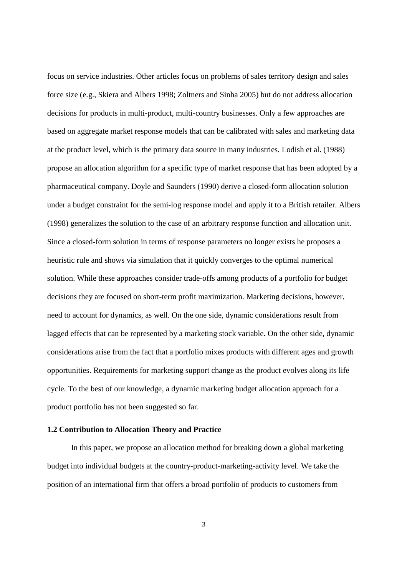focus on service industries. Other articles focus on problems of sales territory design and sales force size (e.g., Skiera and Albers 1998; Zoltners and Sinha 2005) but do not address allocation decisions for products in multi-product, multi-country businesses. Only a few approaches are based on aggregate market response models that can be calibrated with sales and marketing data at the product level, which is the primary data source in many industries. Lodish et al. (1988) propose an allocation algorithm for a specific type of market response that has been adopted by a pharmaceutical company. Doyle and Saunders (1990) derive a closed-form allocation solution under a budget constraint for the semi-log response model and apply it to a British retailer. Albers (1998) generalizes the solution to the case of an arbitrary response function and allocation unit. Since a closed-form solution in terms of response parameters no longer exists he proposes a heuristic rule and shows via simulation that it quickly converges to the optimal numerical solution. While these approaches consider trade-offs among products of a portfolio for budget decisions they are focused on short-term profit maximization. Marketing decisions, however, need to account for dynamics, as well. On the one side, dynamic considerations result from lagged effects that can be represented by a marketing stock variable. On the other side, dynamic considerations arise from the fact that a portfolio mixes products with different ages and growth opportunities. Requirements for marketing support change as the product evolves along its life cycle. To the best of our knowledge, a dynamic marketing budget allocation approach for a product portfolio has not been suggested so far.

#### **1.2 Contribution to Allocation Theory and Practice**

In this paper, we propose an allocation method for breaking down a global marketing budget into individual budgets at the country-product-marketing-activity level. We take the position of an international firm that offers a broad portfolio of products to customers from

3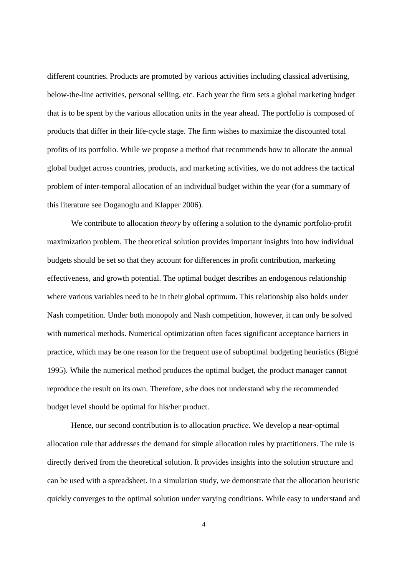different countries. Products are promoted by various activities including classical advertising, below-the-line activities, personal selling, etc. Each year the firm sets a global marketing budget that is to be spent by the various allocation units in the year ahead. The portfolio is composed of products that differ in their life-cycle stage. The firm wishes to maximize the discounted total profits of its portfolio. While we propose a method that recommends how to allocate the annual global budget across countries, products, and marketing activities, we do not address the tactical problem of inter-temporal allocation of an individual budget within the year (for a summary of this literature see Doganoglu and Klapper 2006).

We contribute to allocation *theory* by offering a solution to the dynamic portfolio-profit maximization problem. The theoretical solution provides important insights into how individual budgets should be set so that they account for differences in profit contribution, marketing effectiveness, and growth potential. The optimal budget describes an endogenous relationship where various variables need to be in their global optimum. This relationship also holds under Nash competition. Under both monopoly and Nash competition, however, it can only be solved with numerical methods. Numerical optimization often faces significant acceptance barriers in practice, which may be one reason for the frequent use of suboptimal budgeting heuristics (Bigné 1995). While the numerical method produces the optimal budget, the product manager cannot reproduce the result on its own. Therefore, s/he does not understand why the recommended budget level should be optimal for his/her product.

Hence, our second contribution is to allocation *practice*. We develop a near-optimal allocation rule that addresses the demand for simple allocation rules by practitioners. The rule is directly derived from the theoretical solution. It provides insights into the solution structure and can be used with a spreadsheet. In a simulation study, we demonstrate that the allocation heuristic quickly converges to the optimal solution under varying conditions. While easy to understand and

4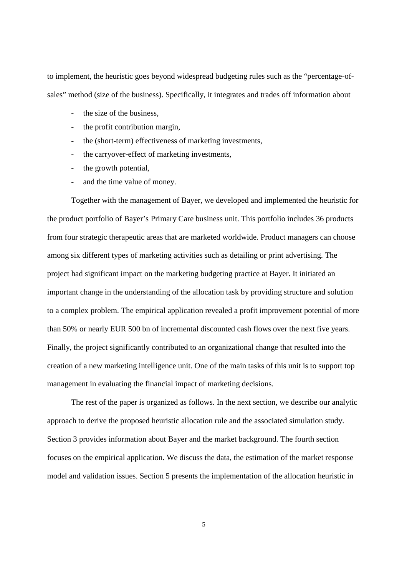to implement, the heuristic goes beyond widespread budgeting rules such as the "percentage-ofsales" method (size of the business). Specifically, it integrates and trades off information about

- the size of the business.
- the profit contribution margin,
- the (short-term) effectiveness of marketing investments,
- the carryover-effect of marketing investments,
- the growth potential,
- and the time value of money.

Together with the management of Bayer, we developed and implemented the heuristic for the product portfolio of Bayer's Primary Care business unit. This portfolio includes 36 products from four strategic therapeutic areas that are marketed worldwide. Product managers can choose among six different types of marketing activities such as detailing or print advertising. The project had significant impact on the marketing budgeting practice at Bayer. It initiated an important change in the understanding of the allocation task by providing structure and solution to a complex problem. The empirical application revealed a profit improvement potential of more than 50% or nearly EUR 500 bn of incremental discounted cash flows over the next five years. Finally, the project significantly contributed to an organizational change that resulted into the creation of a new marketing intelligence unit. One of the main tasks of this unit is to support top management in evaluating the financial impact of marketing decisions.

The rest of the paper is organized as follows. In the next section, we describe our analytic approach to derive the proposed heuristic allocation rule and the associated simulation study. Section 3 provides information about Bayer and the market background. The fourth section focuses on the empirical application. We discuss the data, the estimation of the market response model and validation issues. Section 5 presents the implementation of the allocation heuristic in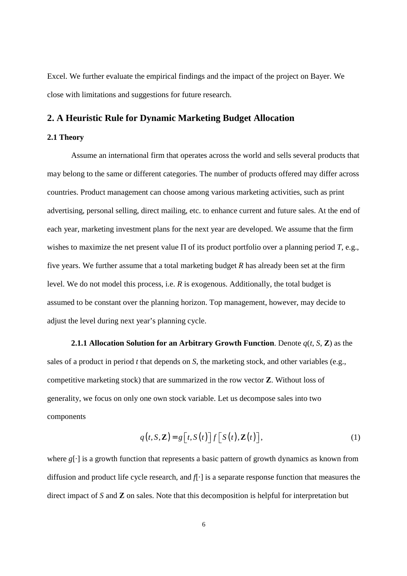Excel. We further evaluate the empirical findings and the impact of the project on Bayer. We close with limitations and suggestions for future research.

## **2. A Heuristic Rule for Dynamic Marketing Budget Allocation**

#### **2.1 Theory**

Assume an international firm that operates across the world and sells several products that may belong to the same or different categories. The number of products offered may differ across countries. Product management can choose among various marketing activities, such as print advertising, personal selling, direct mailing, etc. to enhance current and future sales. At the end of each year, marketing investment plans for the next year are developed. We assume that the firm wishes to maximize the net present value Π of its product portfolio over a planning period *T*, e.g., five years. We further assume that a total marketing budget *R* has already been set at the firm level. We do not model this process, i.e. *R* is exogenous. Additionally, the total budget is assumed to be constant over the planning horizon. Top management, however, may decide to adjust the level during next year's planning cycle.

**2.1.1 Allocation Solution for an Arbitrary Growth Function**. Denote *q*(*t*, *S*, **Z**) as the sales of a product in period *t* that depends on *S*, the marketing stock, and other variables (e.g., competitive marketing stock) that are summarized in the row vector **Z**. Without loss of generality, we focus on only one own stock variable. Let us decompose sales into two components

$$
q(t, S, \mathbf{Z}) = g\left[t, S(t)\right] f\left[S(t), \mathbf{Z}(t)\right],\tag{1}
$$

where *g*[·] is a growth function that represents a basic pattern of growth dynamics as known from diffusion and product life cycle research, and *f*[·] is a separate response function that measures the direct impact of *S* and **Z** on sales. Note that this decomposition is helpful for interpretation but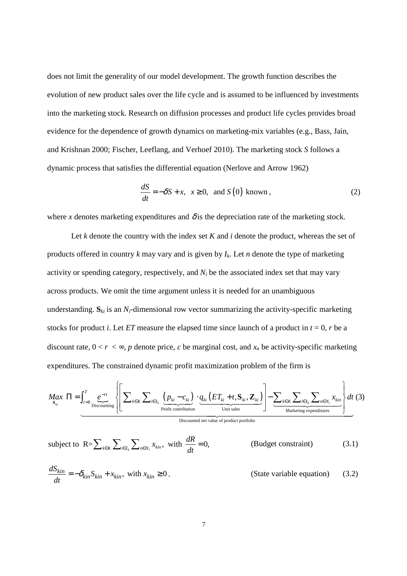does not limit the generality of our model development. The growth function describes the evolution of new product sales over the life cycle and is assumed to be influenced by investments into the marketing stock. Research on diffusion processes and product life cycles provides broad evidence for the dependence of growth dynamics on marketing-mix variables (e.g., Bass, Jain, and Krishnan 2000; Fischer, Leeflang, and Verhoef 2010). The marketing stock *S* follows a dynamic process that satisfies the differential equation (Nerlove and Arrow 1962)

$$
\frac{dS}{dt} = -\delta S + x, \ \ x \ge 0, \ \text{and} \ S(0) \text{ known}, \tag{2}
$$

where *x* denotes marketing expenditures and  $\delta$  is the depreciation rate of the marketing stock.

Let *k* denote the country with the index set *K* and *i* denote the product, whereas the set of products offered in country *k* may vary and is given by *Ik*. Let *n* denote the type of marketing activity or spending category, respectively, and  $N_i$  be the associated index set that may vary across products. We omit the time argument unless it is needed for an unambiguous understanding.  $S_{ki}$  is an  $N_i$ -dimensional row vector summarizing the activity-specific marketing stocks for product *i*. Let *ET* measure the elapsed time since launch of a product in  $t = 0$ , *r* be a discount rate,  $0 < r < \infty$ , *p* denote price, *c* be marginal cost, and  $x_n$  be activity-specific marketing expenditures. The constrained dynamic profit maximization problem of the firm is

$$
M_{\mathbf{S}_{ki}} \Pi = \int_{t=0}^{T} \underbrace{e^{-rt}}_{\text{Discounding}} \left\{ \left[ \sum_{k \in K} \sum_{i \in I_k} \underbrace{(p_{ki} - c_{ki})}_{\text{Profit contribution}} \cdot \underbrace{q_{ki} (ET_{ki} + t, \mathbf{S}_{ki}, \mathbf{Z}_{ki})}_{\text{Unit sales}} \right] - \underbrace{\sum_{k \in K} \sum_{i \in I_k} \sum_{n \in N_i} x_{kin}}_{\text{Marketing expenditures}} \right\} dt \tag{3}
$$

Discounted net value of product portfolio

subject to 
$$
R = \sum_{k \in K} \sum_{i \in I_k} \sum_{n \in N_i} x_{kin}, \text{ with } \frac{dR}{dt} = 0,
$$
 (Budget constraint) (3.1)

$$
\frac{dS_{kin}}{dt} = -\delta_{kin} S_{kin} + x_{kin}, \text{ with } x_{kin} \ge 0,
$$
 (State variable equation) (3.2)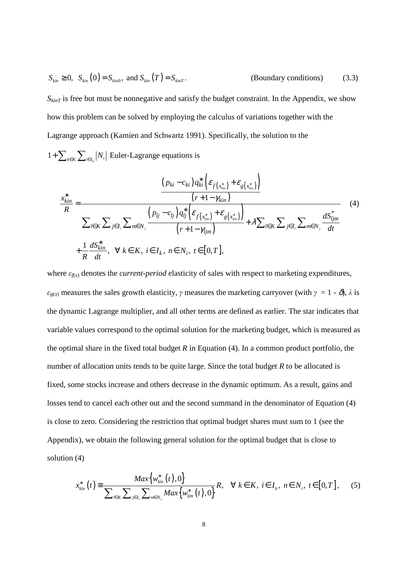$$
S_{\text{kin}} \ge 0, \quad S_{\text{kin}}(0) = S_{\text{kin}} \text{, and } S_{\text{kin}}(T) = S_{\text{kin}T}.\tag{3.3}
$$

 $S_{kinT}$  is free but must be nonnegative and satisfy the budget constraint. In the Appendix, we show how this problem can be solved by employing the calculus of variations together with the Lagrange approach (Kamien and Schwartz 1991). Specifically, the solution to the

 $1 + \sum_{k \in K} \sum_{i \in I_k} |N_i|$  Euler-Lagrange equations is

$$
\frac{x_{kin}^{*}}{R} = \frac{\frac{(p_{ki} - c_{ki})q_{ki}^{*}\left(\varepsilon_{f(x_{kin}^{*})} + \varepsilon_{g(x_{kin}^{*})}\right)}{(r+1-\gamma_{kin})}}{\sum_{l\in K}\sum_{j\in I_{l}}\sum_{m\in N_{j}}\frac{\left(p_{lj} - c_{lj}\right)q_{lj}^{*}\left(\varepsilon_{f(x_{ljm}^{*})} + \varepsilon_{g(x_{ljm}^{*})}\right)}{(r+1-\gamma_{ljm})} + \lambda\sum_{l\in K}\sum_{j\in I_{l}}\sum_{m\in N_{j}}\frac{dS_{ljm}^{*}}{dt}
$$
\n
$$
+\frac{1}{R}\frac{dS_{kin}^{*}}{dt}, \quad \forall \ k \in K, \ i \in I_{k}, \ n \in N_{i}, \ t \in [0, T],
$$
\n(4)

where  $\varepsilon_{f(x)}$  denotes the *current-period* elasticity of sales with respect to marketing expenditures,  $\varepsilon_{g(x)}$  measures the sales growth elasticity,  $\gamma$  measures the marketing carryover (with  $\gamma = 1 - \delta$ ),  $\lambda$  is the dynamic Lagrange multiplier, and all other terms are defined as earlier. The star indicates that variable values correspond to the optimal solution for the marketing budget, which is measured as the optimal share in the fixed total budget *R* in Equation (4). In a common product portfolio, the number of allocation units tends to be quite large. Since the total budget *R* to be allocated is fixed, some stocks increase and others decrease in the dynamic optimum. As a result, gains and losses tend to cancel each other out and the second summand in the denominator of Equation (4) is close to zero. Considering the restriction that optimal budget shares must sum to 1 (see the Appendix), we obtain the following general solution for the optimal budget that is close to solution (4)

$$
x_{kin}^{*}(t) \cong \frac{Max\{w_{kin}^{*}(t),0\}}{\sum_{l\in K}\sum_{j\in I_{l}}\sum_{m\in N_{j}} Max\{w_{ljm}^{*}(t),0\}}R, \quad \forall k \in K, i \in I_{k}, n \in N_{i}, t \in [0,T], \quad (5)
$$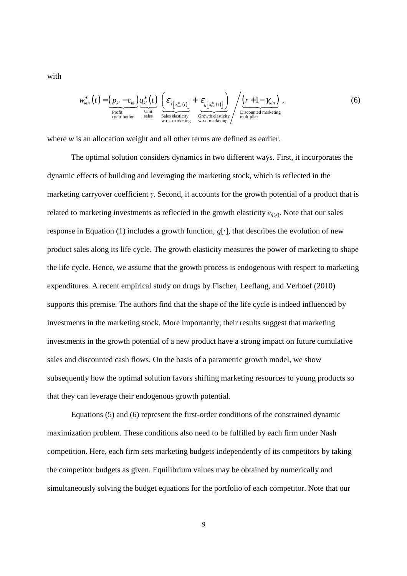with

$$
w_{kin}^{*}(t) = \underbrace{(p_{ki} - c_{ki})}_{\substack{\text{Profit} \\ \text{contribution}}} \underbrace{q_{ki}^{*}(t)}_{\substack{\text{Unit} \\ \text{sales elasticity} \\ \text{with the elasticity} \\ \text{with the elasticity} \\ \text{with the elasticity}} + \underbrace{\varepsilon_{g[x_{kin}^{*}(t)]}}_{\substack{\text{incomplete} \\ \text{inometricity} \\ \text{with the elasticity} \\ \text{multiplier}}} \left( \underbrace{(r+1-\gamma_{kin})}_{\substack{\text{Discount} \\ \text{multiplier} \\ \text{multiplier}}} \right), \tag{6}
$$

where *w* is an allocation weight and all other terms are defined as earlier.

The optimal solution considers dynamics in two different ways. First, it incorporates the dynamic effects of building and leveraging the marketing stock, which is reflected in the marketing carryover coefficient γ. Second, it accounts for the growth potential of a product that is related to marketing investments as reflected in the growth elasticity  $\varepsilon_{g(x)}$ . Note that our sales response in Equation (1) includes a growth function,  $g[\cdot]$ , that describes the evolution of new product sales along its life cycle. The growth elasticity measures the power of marketing to shape the life cycle. Hence, we assume that the growth process is endogenous with respect to marketing expenditures. A recent empirical study on drugs by Fischer, Leeflang, and Verhoef (2010) supports this premise. The authors find that the shape of the life cycle is indeed influenced by investments in the marketing stock. More importantly, their results suggest that marketing investments in the growth potential of a new product have a strong impact on future cumulative sales and discounted cash flows. On the basis of a parametric growth model, we show subsequently how the optimal solution favors shifting marketing resources to young products so that they can leverage their endogenous growth potential.

Equations (5) and (6) represent the first-order conditions of the constrained dynamic maximization problem. These conditions also need to be fulfilled by each firm under Nash competition. Here, each firm sets marketing budgets independently of its competitors by taking the competitor budgets as given. Equilibrium values may be obtained by numerically and simultaneously solving the budget equations for the portfolio of each competitor. Note that our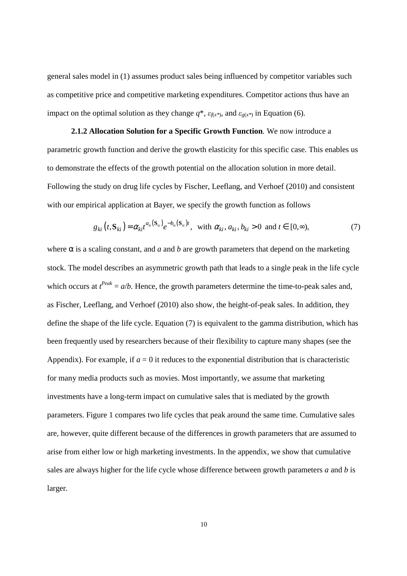general sales model in (1) assumes product sales being influenced by competitor variables such as competitive price and competitive marketing expenditures. Competitor actions thus have an impact on the optimal solution as they change  $q^*$ ,  $\varepsilon_{f(x^*)}$ , and  $\varepsilon_{g(x^*)}$  in Equation (6).

**2.1.2 Allocation Solution for a Specific Growth Function**. We now introduce a parametric growth function and derive the growth elasticity for this specific case. This enables us to demonstrate the effects of the growth potential on the allocation solution in more detail. Following the study on drug life cycles by Fischer, Leeflang, and Verhoef (2010) and consistent with our empirical application at Bayer, we specify the growth function as follows

$$
g_{ki}(t,\mathbf{S}_{ki}) = \alpha_{ki}t^{a_{ki}(\mathbf{S}_{ki})}e^{-b_{ki}(\mathbf{S}_{ki})t}, \text{ with } \alpha_{ki}, a_{ki}, b_{ki} > 0 \text{ and } t \in [0,\infty),
$$
 (7)

where  $\alpha$  is a scaling constant, and *a* and *b* are growth parameters that depend on the marketing stock. The model describes an asymmetric growth path that leads to a single peak in the life cycle which occurs at  $t^{Peak} = a/b$ . Hence, the growth parameters determine the time-to-peak sales and, as Fischer, Leeflang, and Verhoef (2010) also show, the height-of-peak sales. In addition, they define the shape of the life cycle. Equation (7) is equivalent to the gamma distribution, which has been frequently used by researchers because of their flexibility to capture many shapes (see the Appendix). For example, if  $a = 0$  it reduces to the exponential distribution that is characteristic for many media products such as movies. Most importantly, we assume that marketing investments have a long-term impact on cumulative sales that is mediated by the growth parameters. Figure 1 compares two life cycles that peak around the same time. Cumulative sales are, however, quite different because of the differences in growth parameters that are assumed to arise from either low or high marketing investments. In the appendix, we show that cumulative sales are always higher for the life cycle whose difference between growth parameters *a* and *b* is larger.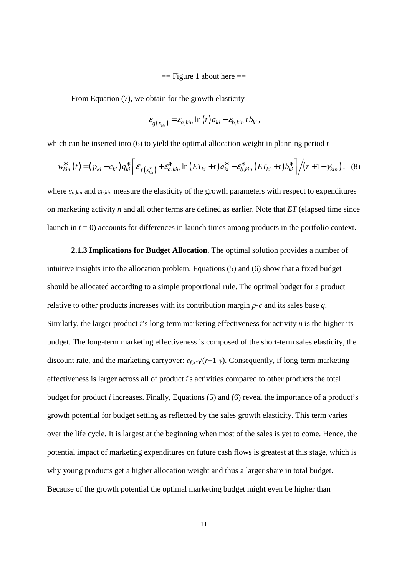$==$  Figure 1 about here  $==$ 

From Equation (7), we obtain for the growth elasticity

$$
\varepsilon_{g(x_{\scriptscriptstyle kin})} = \varepsilon_{a,kin} \ln(t) a_{ki} - \varepsilon_{b,kin} t b_{ki},
$$

which can be inserted into (6) to yield the optimal allocation weight in planning period *t* 

$$
w_{kin}^{*}(t) = (p_{ki} - c_{ki})q_{ki}^{*} \bigg[ \varepsilon_{f(x_{kin}^{*})} + \varepsilon_{a,kin}^{*} \ln(ET_{ki} + t) a_{ki}^{*} - \varepsilon_{b,kin}^{*}(ET_{ki} + t) b_{ki}^{*} \bigg] / (r + 1 - \gamma_{kin}), \quad (8)
$$

where  $\varepsilon_{a\,kin}$  and  $\varepsilon_{b\,kin}$  measure the elasticity of the growth parameters with respect to expenditures on marketing activity *n* and all other terms are defined as earlier. Note that *ET* (elapsed time since launch in  $t = 0$ ) accounts for differences in launch times among products in the portfolio context.

**2.1.3 Implications for Budget Allocation**. The optimal solution provides a number of intuitive insights into the allocation problem. Equations (5) and (6) show that a fixed budget should be allocated according to a simple proportional rule. The optimal budget for a product relative to other products increases with its contribution margin *p*-*c* and its sales base *q*. Similarly, the larger product *i*'s long-term marketing effectiveness for activity *n* is the higher its budget. The long-term marketing effectiveness is composed of the short-term sales elasticity, the discount rate, and the marketing carryover:  $\varepsilon_{\text{fix*}}/(r+1-\gamma)$ . Consequently, if long-term marketing effectiveness is larger across all of product *i*'s activities compared to other products the total budget for product *i* increases. Finally, Equations (5) and (6) reveal the importance of a product's growth potential for budget setting as reflected by the sales growth elasticity. This term varies over the life cycle. It is largest at the beginning when most of the sales is yet to come. Hence, the potential impact of marketing expenditures on future cash flows is greatest at this stage, which is why young products get a higher allocation weight and thus a larger share in total budget. Because of the growth potential the optimal marketing budget might even be higher than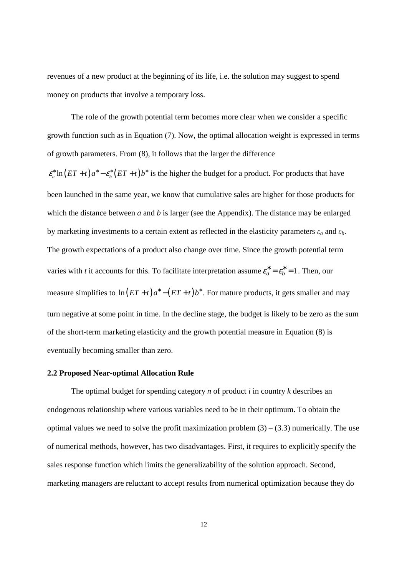revenues of a new product at the beginning of its life, i.e. the solution may suggest to spend money on products that involve a temporary loss.

The role of the growth potential term becomes more clear when we consider a specific growth function such as in Equation (7). Now, the optimal allocation weight is expressed in terms of growth parameters. From (8), it follows that the larger the difference

 $\varepsilon_a^* \ln (ET + t) a^* - \varepsilon_b^* (ET + t) b^*$  is the higher the budget for a product. For products that have been launched in the same year, we know that cumulative sales are higher for those products for which the distance between *a* and *b* is larger (see the Appendix). The distance may be enlarged by marketing investments to a certain extent as reflected in the elasticity parameters ε*a* and ε*b*. The growth expectations of a product also change over time. Since the growth potential term varies with *t* it accounts for this. To facilitate interpretation assume  $\varepsilon_a^* = \varepsilon_b^* = 1$ . Then, our measure simplifies to  $\ln (ET + t) a^* - (ET + t) b^*$ . For mature products, it gets smaller and may turn negative at some point in time. In the decline stage, the budget is likely to be zero as the sum of the short-term marketing elasticity and the growth potential measure in Equation (8) is eventually becoming smaller than zero.

#### **2.2 Proposed Near-optimal Allocation Rule**

The optimal budget for spending category *n* of product *i* in country *k* describes an endogenous relationship where various variables need to be in their optimum. To obtain the optimal values we need to solve the profit maximization problem  $(3) - (3.3)$  numerically. The use of numerical methods, however, has two disadvantages. First, it requires to explicitly specify the sales response function which limits the generalizability of the solution approach. Second, marketing managers are reluctant to accept results from numerical optimization because they do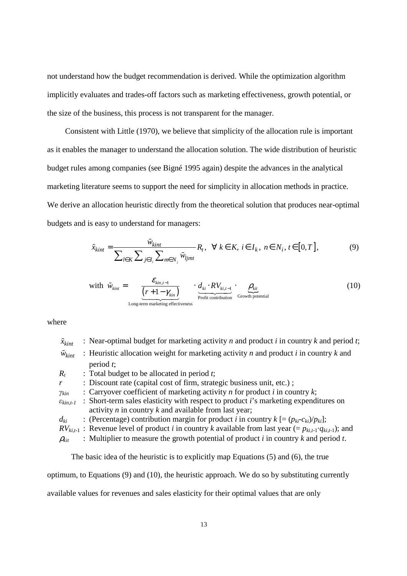not understand how the budget recommendation is derived. While the optimization algorithm implicitly evaluates and trades-off factors such as marketing effectiveness, growth potential, or the size of the business, this process is not transparent for the manager.

Consistent with Little (1970), we believe that simplicity of the allocation rule is important as it enables the manager to understand the allocation solution. The wide distribution of heuristic budget rules among companies (see Bigné 1995 again) despite the advances in the analytical marketing literature seems to support the need for simplicity in allocation methods in practice. We derive an allocation heuristic directly from the theoretical solution that produces near-optimal budgets and is easy to understand for managers:

$$
\tilde{x}_{kint} = \frac{\tilde{w}_{kint}}{\sum_{l \in K} \sum_{j \in I_i} \sum_{m \in N_j} \tilde{w}_{ljmt}} R_t, \ \ \forall \ k \in K, \ i \in I_k, \ n \in N_i, t \in [0, T], \tag{9}
$$

with 
$$
\tilde{w}_{\text{kint}} = \underbrace{\frac{\mathcal{E}_{\text{kin,t-1}}}{(r+1-\gamma_{\text{kin}})}}_{\text{Long-term marketing effectiveness}}
$$
  $\cdot \underbrace{d_{ki} \cdot RV_{ki,t-1}}_{\text{Profit contribution}}$   $\cdot \underbrace{\rho_{\text{kit}}}_{\text{Growth potential}}$  (10)

where

 $\tilde{x}_{limit}$  : Near-optimal budget for marketing activity *n* and product *i* in country *k* and period *t*;  $\tilde{w}_{\text{kint}}$  : Heuristic allocation weight for marketing activity *n* and product *i* in country *k* and period *t*;  $R_t$  : Total budget to be allocated in period *t*; *r* : Discount rate (capital cost of firm, strategic business unit, etc.); γ*kin* : Carryover coefficient of marketing activity *n* for product *i* in country *k*; ε*kin,t-1* : Short-term sales elasticity with respect to product *i*'s marketing expenditures on activity *n* in country *k* and available from last year;  $d_{ki}$  : (Percentage) contribution margin for product *i* in country  $k = (p_{ki} - c_{ki})/p_{ki}$ ;  $RV_{ki,t-1}$ : Revenue level of product *i* in country *k* available from last year (=  $p_{ki,t-1} \cdot q_{ki,t-1}$ ); and  $\rho_{kit}$  : Multiplier to measure the growth potential of product *i* in country *k* and period *t*.

The basic idea of the heuristic is to explicitly map Equations (5) and (6), the true

optimum, to Equations (9) and (10), the heuristic approach. We do so by substituting currently

available values for revenues and sales elasticity for their optimal values that are only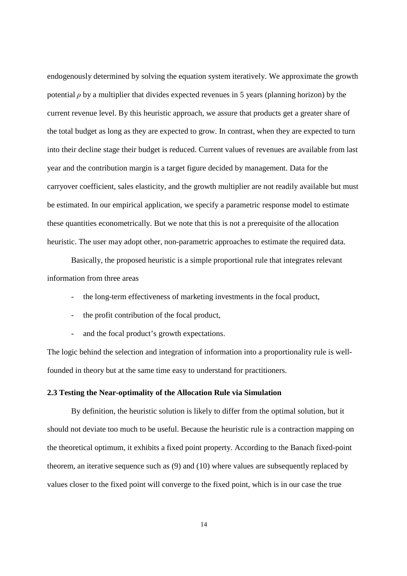endogenously determined by solving the equation system iteratively. We approximate the growth potential  $\rho$  by a multiplier that divides expected revenues in 5 years (planning horizon) by the current revenue level. By this heuristic approach, we assure that products get a greater share of the total budget as long as they are expected to grow. In contrast, when they are expected to turn into their decline stage their budget is reduced. Current values of revenues are available from last year and the contribution margin is a target figure decided by management. Data for the carryover coefficient, sales elasticity, and the growth multiplier are not readily available but must be estimated. In our empirical application, we specify a parametric response model to estimate these quantities econometrically. But we note that this is not a prerequisite of the allocation heuristic. The user may adopt other, non-parametric approaches to estimate the required data.

Basically, the proposed heuristic is a simple proportional rule that integrates relevant information from three areas

- the long-term effectiveness of marketing investments in the focal product,
- the profit contribution of the focal product,
- and the focal product's growth expectations.

The logic behind the selection and integration of information into a proportionality rule is wellfounded in theory but at the same time easy to understand for practitioners.

## **2.3 Testing the Near-optimality of the Allocation Rule via Simulation**

By definition, the heuristic solution is likely to differ from the optimal solution, but it should not deviate too much to be useful. Because the heuristic rule is a contraction mapping on the theoretical optimum, it exhibits a fixed point property. According to the Banach fixed-point theorem, an iterative sequence such as (9) and (10) where values are subsequently replaced by values closer to the fixed point will converge to the fixed point, which is in our case the true

14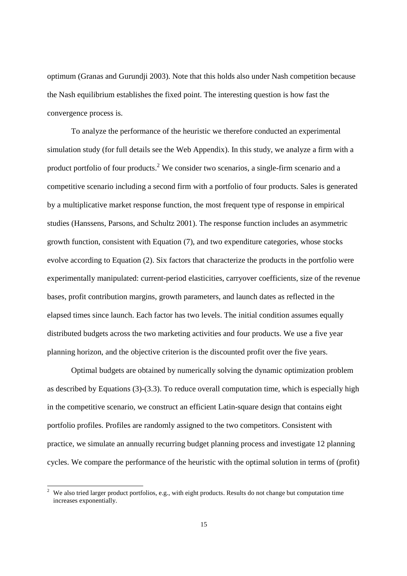optimum (Granas and Gurundji 2003). Note that this holds also under Nash competition because the Nash equilibrium establishes the fixed point. The interesting question is how fast the convergence process is.

To analyze the performance of the heuristic we therefore conducted an experimental simulation study (for full details see the Web Appendix). In this study, we analyze a firm with a product portfolio of four products.<sup>2</sup> We consider two scenarios, a single-firm scenario and a competitive scenario including a second firm with a portfolio of four products. Sales is generated by a multiplicative market response function, the most frequent type of response in empirical studies (Hanssens, Parsons, and Schultz 2001). The response function includes an asymmetric growth function, consistent with Equation (7), and two expenditure categories, whose stocks evolve according to Equation (2). Six factors that characterize the products in the portfolio were experimentally manipulated: current-period elasticities, carryover coefficients, size of the revenue bases, profit contribution margins, growth parameters, and launch dates as reflected in the elapsed times since launch. Each factor has two levels. The initial condition assumes equally distributed budgets across the two marketing activities and four products. We use a five year planning horizon, and the objective criterion is the discounted profit over the five years.

Optimal budgets are obtained by numerically solving the dynamic optimization problem as described by Equations (3)-(3.3). To reduce overall computation time, which is especially high in the competitive scenario, we construct an efficient Latin-square design that contains eight portfolio profiles. Profiles are randomly assigned to the two competitors. Consistent with practice, we simulate an annually recurring budget planning process and investigate 12 planning cycles. We compare the performance of the heuristic with the optimal solution in terms of (profit)

 $\overline{a}$ 

<sup>2</sup> We also tried larger product portfolios, e.g., with eight products. Results do not change but computation time increases exponentially.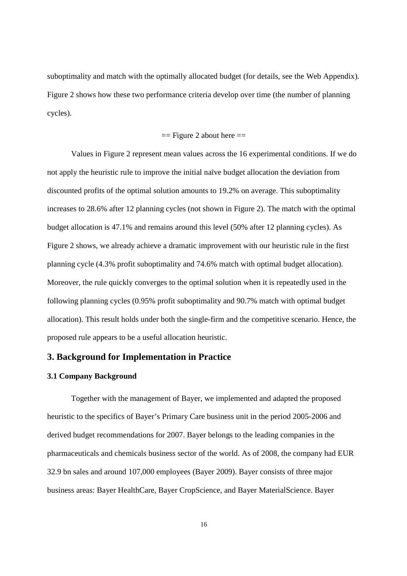suboptimality and match with the optimally allocated budget (for details, see the Web Appendix). Figure 2 shows how these two performance criteria develop over time (the number of planning cycles).

#### $==$  Figure 2 about here  $==$

Values in Figure 2 represent mean values across the 16 experimental conditions. If we do not apply the heuristic rule to improve the initial naïve budget allocation the deviation from discounted profits of the optimal solution amounts to 19.2% on average. This suboptimality increases to 28.6% after 12 planning cycles (not shown in Figure 2). The match with the optimal budget allocation is 47.1% and remains around this level (50% after 12 planning cycles). As Figure 2 shows, we already achieve a dramatic improvement with our heuristic rule in the first planning cycle (4.3% profit suboptimality and 74.6% match with optimal budget allocation). Moreover, the rule quickly converges to the optimal solution when it is repeatedly used in the following planning cycles (0.95% profit suboptimality and 90.7% match with optimal budget allocation). This result holds under both the single-firm and the competitive scenario. Hence, the proposed rule appears to be a useful allocation heuristic.

## **3. Background for Implementation in Practice**

#### **3.1 Company Background**

Together with the management of Bayer, we implemented and adapted the proposed heuristic to the specifics of Bayer's Primary Care business unit in the period 2005-2006 and derived budget recommendations for 2007. Bayer belongs to the leading companies in the pharmaceuticals and chemicals business sector of the world. As of 2008, the company had EUR 32.9 bn sales and around 107,000 employees (Bayer 2009). Bayer consists of three major business areas: Bayer HealthCare, Bayer CropScience, and Bayer MaterialScience. Bayer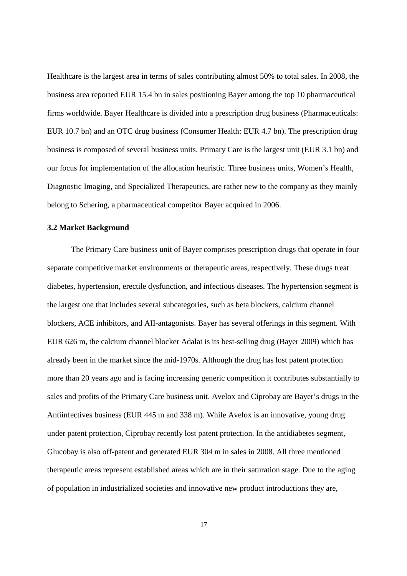Healthcare is the largest area in terms of sales contributing almost 50% to total sales. In 2008, the business area reported EUR 15.4 bn in sales positioning Bayer among the top 10 pharmaceutical firms worldwide. Bayer Healthcare is divided into a prescription drug business (Pharmaceuticals: EUR 10.7 bn) and an OTC drug business (Consumer Health: EUR 4.7 bn). The prescription drug business is composed of several business units. Primary Care is the largest unit (EUR 3.1 bn) and our focus for implementation of the allocation heuristic. Three business units, Women's Health, Diagnostic Imaging, and Specialized Therapeutics, are rather new to the company as they mainly belong to Schering, a pharmaceutical competitor Bayer acquired in 2006.

#### **3.2 Market Background**

The Primary Care business unit of Bayer comprises prescription drugs that operate in four separate competitive market environments or therapeutic areas, respectively. These drugs treat diabetes, hypertension, erectile dysfunction, and infectious diseases. The hypertension segment is the largest one that includes several subcategories, such as beta blockers, calcium channel blockers, ACE inhibitors, and AII-antagonists. Bayer has several offerings in this segment. With EUR 626 m, the calcium channel blocker Adalat is its best-selling drug (Bayer 2009) which has already been in the market since the mid-1970s. Although the drug has lost patent protection more than 20 years ago and is facing increasing generic competition it contributes substantially to sales and profits of the Primary Care business unit. Avelox and Ciprobay are Bayer's drugs in the Antiinfectives business (EUR 445 m and 338 m). While Avelox is an innovative, young drug under patent protection, Ciprobay recently lost patent protection. In the antidiabetes segment, Glucobay is also off-patent and generated EUR 304 m in sales in 2008. All three mentioned therapeutic areas represent established areas which are in their saturation stage. Due to the aging of population in industrialized societies and innovative new product introductions they are,

17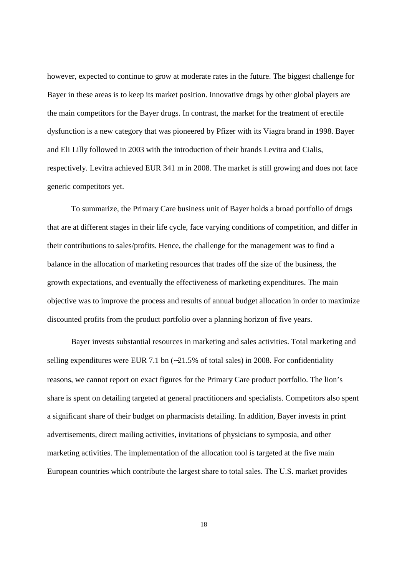however, expected to continue to grow at moderate rates in the future. The biggest challenge for Bayer in these areas is to keep its market position. Innovative drugs by other global players are the main competitors for the Bayer drugs. In contrast, the market for the treatment of erectile dysfunction is a new category that was pioneered by Pfizer with its Viagra brand in 1998. Bayer and Eli Lilly followed in 2003 with the introduction of their brands Levitra and Cialis, respectively. Levitra achieved EUR 341 m in 2008. The market is still growing and does not face generic competitors yet.

To summarize, the Primary Care business unit of Bayer holds a broad portfolio of drugs that are at different stages in their life cycle, face varying conditions of competition, and differ in their contributions to sales/profits. Hence, the challenge for the management was to find a balance in the allocation of marketing resources that trades off the size of the business, the growth expectations, and eventually the effectiveness of marketing expenditures. The main objective was to improve the process and results of annual budget allocation in order to maximize discounted profits from the product portfolio over a planning horizon of five years.

Bayer invests substantial resources in marketing and sales activities. Total marketing and selling expenditures were EUR 7.1 bn (∼21.5% of total sales) in 2008. For confidentiality reasons, we cannot report on exact figures for the Primary Care product portfolio. The lion's share is spent on detailing targeted at general practitioners and specialists. Competitors also spent a significant share of their budget on pharmacists detailing. In addition, Bayer invests in print advertisements, direct mailing activities, invitations of physicians to symposia, and other marketing activities. The implementation of the allocation tool is targeted at the five main European countries which contribute the largest share to total sales. The U.S. market provides

18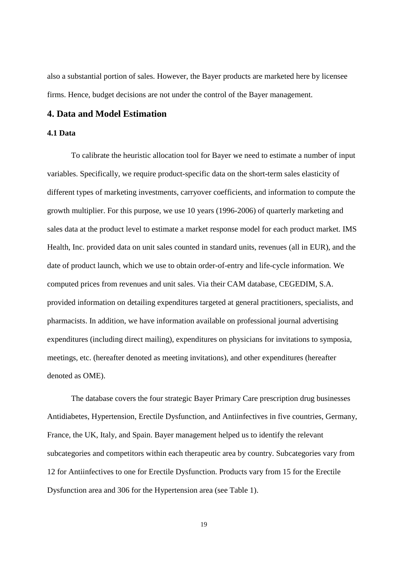also a substantial portion of sales. However, the Bayer products are marketed here by licensee firms. Hence, budget decisions are not under the control of the Bayer management.

## **4. Data and Model Estimation**

## **4.1 Data**

To calibrate the heuristic allocation tool for Bayer we need to estimate a number of input variables. Specifically, we require product-specific data on the short-term sales elasticity of different types of marketing investments, carryover coefficients, and information to compute the growth multiplier. For this purpose, we use 10 years (1996-2006) of quarterly marketing and sales data at the product level to estimate a market response model for each product market. IMS Health, Inc. provided data on unit sales counted in standard units, revenues (all in EUR), and the date of product launch, which we use to obtain order-of-entry and life-cycle information. We computed prices from revenues and unit sales. Via their CAM database, CEGEDIM, S.A. provided information on detailing expenditures targeted at general practitioners, specialists, and pharmacists. In addition, we have information available on professional journal advertising expenditures (including direct mailing), expenditures on physicians for invitations to symposia, meetings, etc. (hereafter denoted as meeting invitations), and other expenditures (hereafter denoted as OME).

The database covers the four strategic Bayer Primary Care prescription drug businesses Antidiabetes, Hypertension, Erectile Dysfunction, and Antiinfectives in five countries, Germany, France, the UK, Italy, and Spain. Bayer management helped us to identify the relevant subcategories and competitors within each therapeutic area by country. Subcategories vary from 12 for Antiinfectives to one for Erectile Dysfunction. Products vary from 15 for the Erectile Dysfunction area and 306 for the Hypertension area (see Table 1).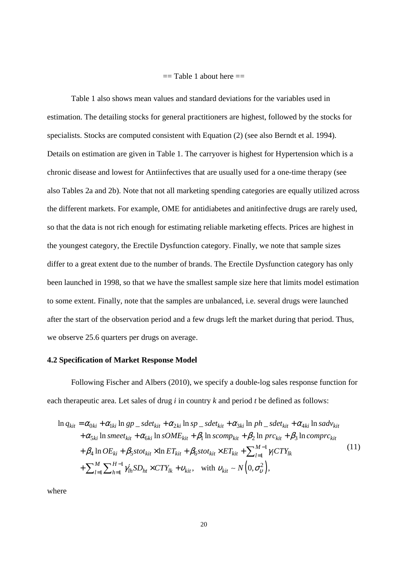#### $==$  Table 1 about here  $==$

Table 1 also shows mean values and standard deviations for the variables used in estimation. The detailing stocks for general practitioners are highest, followed by the stocks for specialists. Stocks are computed consistent with Equation (2) (see also Berndt et al. 1994). Details on estimation are given in Table 1. The carryover is highest for Hypertension which is a chronic disease and lowest for Antiinfectives that are usually used for a one-time therapy (see also Tables 2a and 2b). Note that not all marketing spending categories are equally utilized across the different markets. For example, OME for antidiabetes and anitinfective drugs are rarely used, so that the data is not rich enough for estimating reliable marketing effects. Prices are highest in the youngest category, the Erectile Dysfunction category. Finally, we note that sample sizes differ to a great extent due to the number of brands. The Erectile Dysfunction category has only been launched in 1998, so that we have the smallest sample size here that limits model estimation to some extent. Finally, note that the samples are unbalanced, i.e. several drugs were launched after the start of the observation period and a few drugs left the market during that period. Thus, we observe 25.6 quarters per drugs on average.

#### **4.2 Specification of Market Response Model**

Following Fischer and Albers (2010), we specify a double-log sales response function for each therapeutic area. Let sales of drug *i* in country *k* and period *t* be defined as follows:

$$
\ln q_{kit} = \alpha_{0ki} + \alpha_{1ki} \ln gp \supset \n\begin{cases}\n\Delta t_{kit} + \alpha_{2ki} \ln sp \supset \n\Delta t_{kit} + \alpha_{3ki} \ln ph \supset \n\Delta t_{kit} + \alpha_{4ki} \ln sadv_{kit} \\
+ \alpha_{5ki} \ln smeet_{kit} + \alpha_{6ki} \ln s OME_{kit} + \beta_1 \ln scomp_{kit} + \beta_2 \ln prc_{kit} + \beta_3 \ln compc_{kit} \\
+ \beta_4 \ln OE_{ki} + \beta_5 stot_{kit} \times \ln ET_{kit} + \beta_6 stot_{kit} \times ET_{kit} + \sum_{l=1}^{M-1} \gamma_l CTY_{lk} \\
+ \sum_{l=1}^{M} \sum_{h=1}^{H-1} \gamma_{lh} SD_{ht} \times CTY_{lk} + v_{kit}, \quad \text{with } v_{kit} \sim N\left(0, \sigma_v^2\right),\n\end{cases} \tag{11}
$$

where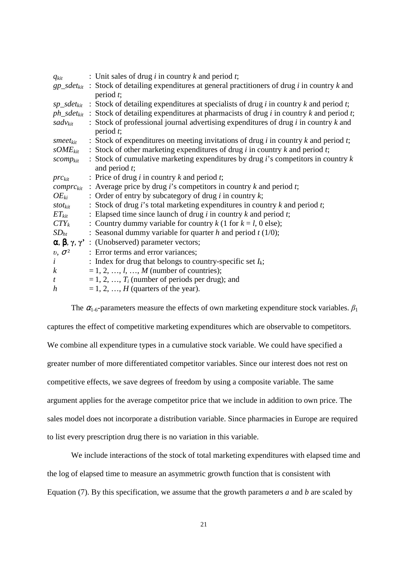| $q_{kit}$            | : Unit sales of drug $i$ in country $k$ and period $t$ ;                                                                       |
|----------------------|--------------------------------------------------------------------------------------------------------------------------------|
|                      | $gp\_sdet_{kit}$ : Stock of detailing expenditures at general practitioners of drug <i>i</i> in country <i>k</i> and           |
|                      | period $t$ ;                                                                                                                   |
|                      | $sp\_sdet_{kit}$ : Stock of detailing expenditures at specialists of drug <i>i</i> in country <i>k</i> and period <i>t</i> ;   |
|                      | $ph\_sdet_{kit}$ : Stock of detailing expenditures at pharmacists of drug <i>i</i> in country <i>k</i> and period <i>t</i> ;   |
|                      | $sadv_{kit}$ : Stock of professional journal advertising expenditures of drug <i>i</i> in country <i>k</i> and                 |
|                      | period $t$ ;                                                                                                                   |
|                      | smeet <sub>kit</sub> : Stock of expenditures on meeting invitations of drug <i>i</i> in country <i>k</i> and period <i>t</i> ; |
|                      | $sOME_{kit}$ : Stock of other marketing expenditures of drug <i>i</i> in country <i>k</i> and period <i>t</i> ;                |
| scomp <sub>kit</sub> | : Stock of cumulative marketing expenditures by drug $i$ 's competitors in country $k$                                         |
|                      | and period $t$ ;                                                                                                               |
| $prc_{kit}$          | : Price of drug $i$ in country $k$ and period $t$ ;                                                                            |
|                      | <i>comprc<sub>kit</sub></i> : Average price by drug <i>i</i> 's competitors in country <i>k</i> and period <i>t</i> ;          |
| $OE_{ki}$            | : Order of entry by subcategory of drug $i$ in country $k$ ;                                                                   |
| $stot_{kit}$         | : Stock of drug $i$ 's total marketing expenditures in country $k$ and period $t$ ;                                            |
| $ET_{kit}$           | : Elapsed time since launch of drug $i$ in country $k$ and period $t$ ;                                                        |
| $CTY_k$              | : Country dummy variable for country k (1 for $k = l$ , 0 else);                                                               |
| $SD_{ht}$            | : Seasonal dummy variable for quarter h and period $t(1/0)$ ;                                                                  |
|                      | $\alpha, \beta, \gamma, \gamma'$ : (Unobserved) parameter vectors;                                                             |
| $v, \sigma^2$        | : Error terms and error variances;                                                                                             |
| $\dot{i}$            | : Index for drug that belongs to country-specific set $I_k$ ;                                                                  |
| $\boldsymbol{k}$     | $= 1, 2, , l, , M$ (number of countries);                                                                                      |
| $\mathfrak{t}$       | $= 1, 2, , T_i$ (number of periods per drug); and                                                                              |
| h                    | $= 1, 2, , H$ (quarters of the year).                                                                                          |

The  $\alpha_{1-6}$ -parameters measure the effects of own marketing expenditure stock variables.  $\beta_1$ captures the effect of competitive marketing expenditures which are observable to competitors. We combine all expenditure types in a cumulative stock variable. We could have specified a greater number of more differentiated competitor variables. Since our interest does not rest on competitive effects, we save degrees of freedom by using a composite variable. The same argument applies for the average competitor price that we include in addition to own price. The sales model does not incorporate a distribution variable. Since pharmacies in Europe are required to list every prescription drug there is no variation in this variable.

We include interactions of the stock of total marketing expenditures with elapsed time and the log of elapsed time to measure an asymmetric growth function that is consistent with Equation (7). By this specification, we assume that the growth parameters *a* and *b* are scaled by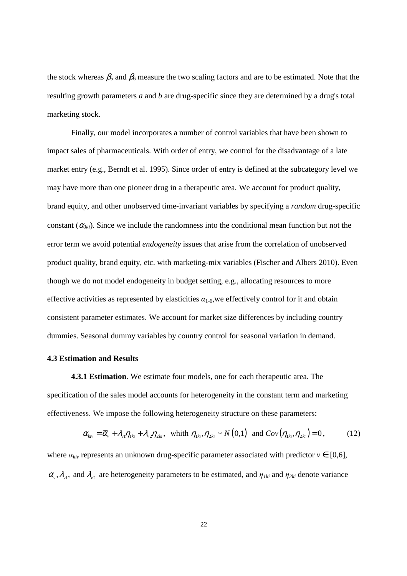the stock whereas  $\beta_5$  and  $\beta_6$  measure the two scaling factors and are to be estimated. Note that the resulting growth parameters *a* and *b* are drug-specific since they are determined by a drug's total marketing stock.

Finally, our model incorporates a number of control variables that have been shown to impact sales of pharmaceuticals. With order of entry, we control for the disadvantage of a late market entry (e.g., Berndt et al. 1995). Since order of entry is defined at the subcategory level we may have more than one pioneer drug in a therapeutic area. We account for product quality, brand equity, and other unobserved time-invariant variables by specifying a *random* drug-specific constant  $(\alpha_{0ki})$ . Since we include the randomness into the conditional mean function but not the error term we avoid potential *endogeneity* issues that arise from the correlation of unobserved product quality, brand equity, etc. with marketing-mix variables (Fischer and Albers 2010). Even though we do not model endogeneity in budget setting, e.g., allocating resources to more effective activities as represented by elasticities  $\alpha_{1-6}$ , we effectively control for it and obtain consistent parameter estimates. We account for market size differences by including country dummies. Seasonal dummy variables by country control for seasonal variation in demand.

#### **4.3 Estimation and Results**

**4.3.1 Estimation**. We estimate four models, one for each therapeutic area. The specification of the sales model accounts for heterogeneity in the constant term and marketing effectiveness. We impose the following heterogeneity structure on these parameters:

$$
\alpha_{\scriptscriptstyle{kiv}} = \overline{\alpha}_{\scriptscriptstyle{v}} + \lambda_{\scriptscriptstyle{v1}} \eta_{\scriptscriptstyle{1ki}} + \lambda_{\scriptscriptstyle{v2}} \eta_{\scriptscriptstyle{2ki}}, \text{ which } \eta_{\scriptscriptstyle{1ki}} \eta_{\scriptscriptstyle{2ki}} \sim N(0,1) \text{ and } Cov(\eta_{\scriptscriptstyle{1ki}}, \eta_{\scriptscriptstyle{2ki}}) = 0, \tag{12}
$$

where  $a_{kiv}$  represents an unknown drug-specific parameter associated with predictor  $v \in [0,6]$ ,  $\bar{\alpha}_v$ ,  $\lambda_{v1}$ , and  $\lambda_{v2}$  are heterogeneity parameters to be estimated, and  $\eta_{1ki}$  and  $\eta_{2ki}$  denote variance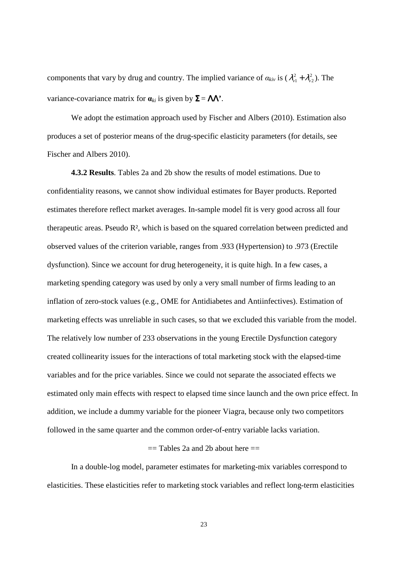components that vary by drug and country. The implied variance of  $\alpha_{kiv}$  is ( $\lambda_{v1}^2 + \lambda_{v2}^2$ ). The variance-covariance matrix for  $\mathbf{a}_{ki}$  is given by  $\Sigma = \Lambda \Lambda^*$ .

We adopt the estimation approach used by Fischer and Albers (2010). Estimation also produces a set of posterior means of the drug-specific elasticity parameters (for details, see Fischer and Albers 2010).

**4.3.2 Results**. Tables 2a and 2b show the results of model estimations. Due to confidentiality reasons, we cannot show individual estimates for Bayer products. Reported estimates therefore reflect market averages. In-sample model fit is very good across all four therapeutic areas. Pseudo R², which is based on the squared correlation between predicted and observed values of the criterion variable, ranges from .933 (Hypertension) to .973 (Erectile dysfunction). Since we account for drug heterogeneity, it is quite high. In a few cases, a marketing spending category was used by only a very small number of firms leading to an inflation of zero-stock values (e.g., OME for Antidiabetes and Antiinfectives). Estimation of marketing effects was unreliable in such cases, so that we excluded this variable from the model. The relatively low number of 233 observations in the young Erectile Dysfunction category created collinearity issues for the interactions of total marketing stock with the elapsed-time variables and for the price variables. Since we could not separate the associated effects we estimated only main effects with respect to elapsed time since launch and the own price effect. In addition, we include a dummy variable for the pioneer Viagra, because only two competitors followed in the same quarter and the common order-of-entry variable lacks variation.

#### $==$  Tables 2a and 2b about here  $==$

In a double-log model, parameter estimates for marketing-mix variables correspond to elasticities. These elasticities refer to marketing stock variables and reflect long-term elasticities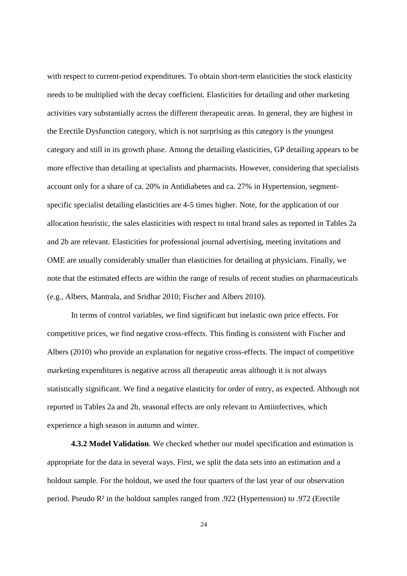with respect to current-period expenditures. To obtain short-term elasticities the stock elasticity needs to be multiplied with the decay coefficient. Elasticities for detailing and other marketing activities vary substantially across the different therapeutic areas. In general, they are highest in the Erectile Dysfunction category, which is not surprising as this category is the youngest category and still in its growth phase. Among the detailing elasticities, GP detailing appears to be more effective than detailing at specialists and pharmacists. However, considering that specialists account only for a share of ca. 20% in Antidiabetes and ca. 27% in Hypertension, segmentspecific specialist detailing elasticities are 4-5 times higher. Note, for the application of our allocation heuristic, the sales elasticities with respect to total brand sales as reported in Tables 2a and 2b are relevant. Elasticities for professional journal advertising, meeting invitations and OME are usually considerably smaller than elasticities for detailing at physicians. Finally, we note that the estimated effects are within the range of results of recent studies on pharmaceuticals (e.g., Albers, Mantrala, and Sridhar 2010; Fischer and Albers 2010).

In terms of control variables, we find significant but inelastic own price effects. For competitive prices, we find negative cross-effects. This finding is consistent with Fischer and Albers (2010) who provide an explanation for negative cross-effects. The impact of competitive marketing expenditures is negative across all therapeutic areas although it is not always statistically significant. We find a negative elasticity for order of entry, as expected. Although not reported in Tables 2a and 2b, seasonal effects are only relevant to Antiinfectives, which experience a high season in autumn and winter.

**4.3.2 Model Validation**. We checked whether our model specification and estimation is appropriate for the data in several ways. First, we split the data sets into an estimation and a holdout sample. For the holdout, we used the four quarters of the last year of our observation period. Pseudo R² in the holdout samples ranged from .922 (Hypertension) to .972 (Erectile

24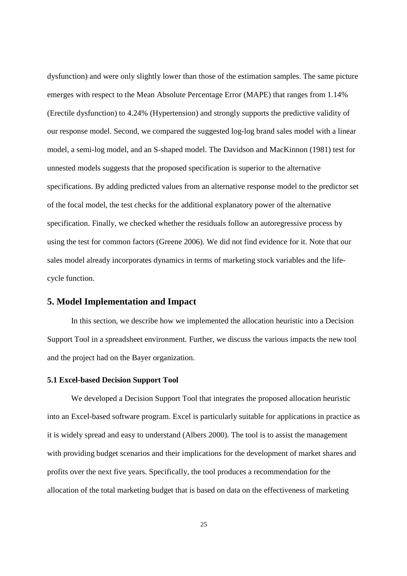dysfunction) and were only slightly lower than those of the estimation samples. The same picture emerges with respect to the Mean Absolute Percentage Error (MAPE) that ranges from 1.14% (Erectile dysfunction) to 4.24% (Hypertension) and strongly supports the predictive validity of our response model. Second, we compared the suggested log-log brand sales model with a linear model, a semi-log model, and an S-shaped model. The Davidson and MacKinnon (1981) test for unnested models suggests that the proposed specification is superior to the alternative specifications. By adding predicted values from an alternative response model to the predictor set of the focal model, the test checks for the additional explanatory power of the alternative specification. Finally, we checked whether the residuals follow an autoregressive process by using the test for common factors (Greene 2006). We did not find evidence for it. Note that our sales model already incorporates dynamics in terms of marketing stock variables and the lifecycle function.

## **5. Model Implementation and Impact**

In this section, we describe how we implemented the allocation heuristic into a Decision Support Tool in a spreadsheet environment. Further, we discuss the various impacts the new tool and the project had on the Bayer organization.

#### **5.1 Excel-based Decision Support Tool**

We developed a Decision Support Tool that integrates the proposed allocation heuristic into an Excel-based software program. Excel is particularly suitable for applications in practice as it is widely spread and easy to understand (Albers 2000). The tool is to assist the management with providing budget scenarios and their implications for the development of market shares and profits over the next five years. Specifically, the tool produces a recommendation for the allocation of the total marketing budget that is based on data on the effectiveness of marketing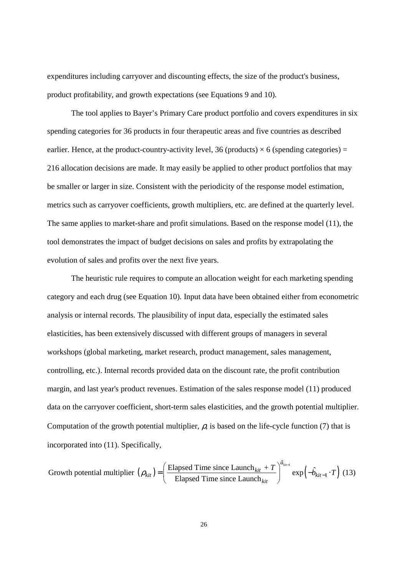expenditures including carryover and discounting effects, the size of the product's business, product profitability, and growth expectations (see Equations 9 and 10).

The tool applies to Bayer's Primary Care product portfolio and covers expenditures in six spending categories for 36 products in four therapeutic areas and five countries as described earlier. Hence, at the product-country-activity level, 36 (products)  $\times$  6 (spending categories) = 216 allocation decisions are made. It may easily be applied to other product portfolios that may be smaller or larger in size. Consistent with the periodicity of the response model estimation, metrics such as carryover coefficients, growth multipliers, etc. are defined at the quarterly level. The same applies to market-share and profit simulations. Based on the response model (11), the tool demonstrates the impact of budget decisions on sales and profits by extrapolating the evolution of sales and profits over the next five years.

The heuristic rule requires to compute an allocation weight for each marketing spending category and each drug (see Equation 10). Input data have been obtained either from econometric analysis or internal records. The plausibility of input data, especially the estimated sales elasticities, has been extensively discussed with different groups of managers in several workshops (global marketing, market research, product management, sales management, controlling, etc.). Internal records provided data on the discount rate, the profit contribution margin, and last year's product revenues. Estimation of the sales response model (11) produced data on the carryover coefficient, short-term sales elasticities, and the growth potential multiplier. Computation of the growth potential multiplier,  $\rho$ , is based on the life-cycle function (7) that is incorporated into (11). Specifically,

Growth potential multiplier 
$$
(\rho_{kit}) = \left(\frac{\text{Elapsed Time since Launch}_{kit} + T}{\text{Elapsed Time since Launch}_{kit}}\right)^{\hat{a}_{kit-1}} \exp\left(-\hat{b}_{kit-1} \cdot T\right)
$$
 (13)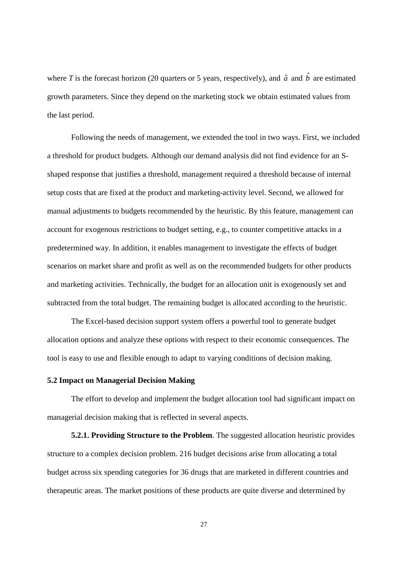where *T* is the forecast horizon (20 quarters or 5 years, respectively), and  $\hat{a}$  and  $\hat{b}$  are estimated growth parameters. Since they depend on the marketing stock we obtain estimated values from the last period.

Following the needs of management, we extended the tool in two ways. First, we included a threshold for product budgets. Although our demand analysis did not find evidence for an Sshaped response that justifies a threshold, management required a threshold because of internal setup costs that are fixed at the product and marketing-activity level. Second, we allowed for manual adjustments to budgets recommended by the heuristic. By this feature, management can account for exogenous restrictions to budget setting, e.g., to counter competitive attacks in a predetermined way. In addition, it enables management to investigate the effects of budget scenarios on market share and profit as well as on the recommended budgets for other products and marketing activities. Technically, the budget for an allocation unit is exogenously set and subtracted from the total budget. The remaining budget is allocated according to the heuristic.

The Excel-based decision support system offers a powerful tool to generate budget allocation options and analyze these options with respect to their economic consequences. The tool is easy to use and flexible enough to adapt to varying conditions of decision making.

#### **5.2 Impact on Managerial Decision Making**

The effort to develop and implement the budget allocation tool had significant impact on managerial decision making that is reflected in several aspects.

**5.2.1. Providing Structure to the Problem**. The suggested allocation heuristic provides structure to a complex decision problem. 216 budget decisions arise from allocating a total budget across six spending categories for 36 drugs that are marketed in different countries and therapeutic areas. The market positions of these products are quite diverse and determined by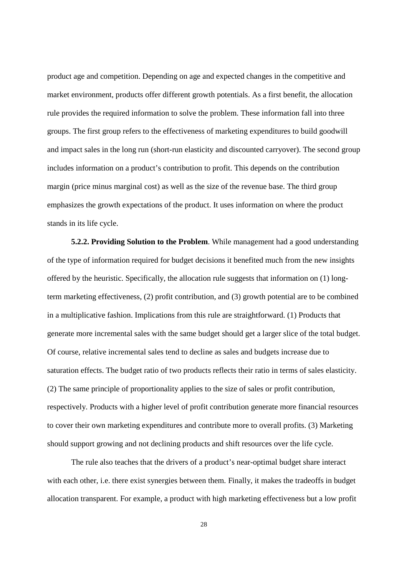product age and competition. Depending on age and expected changes in the competitive and market environment, products offer different growth potentials. As a first benefit, the allocation rule provides the required information to solve the problem. These information fall into three groups. The first group refers to the effectiveness of marketing expenditures to build goodwill and impact sales in the long run (short-run elasticity and discounted carryover). The second group includes information on a product's contribution to profit. This depends on the contribution margin (price minus marginal cost) as well as the size of the revenue base. The third group emphasizes the growth expectations of the product. It uses information on where the product stands in its life cycle.

**5.2.2. Providing Solution to the Problem**. While management had a good understanding of the type of information required for budget decisions it benefited much from the new insights offered by the heuristic. Specifically, the allocation rule suggests that information on (1) longterm marketing effectiveness, (2) profit contribution, and (3) growth potential are to be combined in a multiplicative fashion. Implications from this rule are straightforward. (1) Products that generate more incremental sales with the same budget should get a larger slice of the total budget. Of course, relative incremental sales tend to decline as sales and budgets increase due to saturation effects. The budget ratio of two products reflects their ratio in terms of sales elasticity. (2) The same principle of proportionality applies to the size of sales or profit contribution, respectively. Products with a higher level of profit contribution generate more financial resources to cover their own marketing expenditures and contribute more to overall profits. (3) Marketing should support growing and not declining products and shift resources over the life cycle.

The rule also teaches that the drivers of a product's near-optimal budget share interact with each other, i.e. there exist synergies between them. Finally, it makes the tradeoffs in budget allocation transparent. For example, a product with high marketing effectiveness but a low profit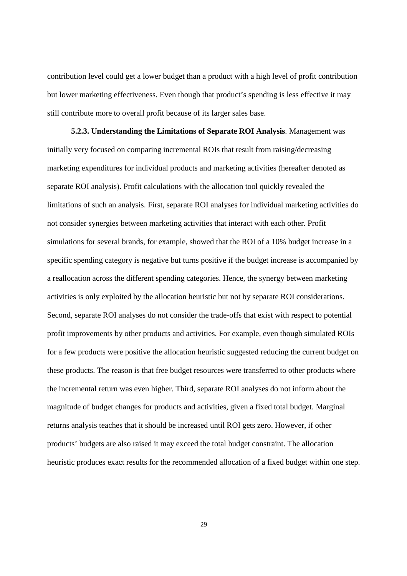contribution level could get a lower budget than a product with a high level of profit contribution but lower marketing effectiveness. Even though that product's spending is less effective it may still contribute more to overall profit because of its larger sales base.

**5.2.3. Understanding the Limitations of Separate ROI Analysis**. Management was initially very focused on comparing incremental ROIs that result from raising/decreasing marketing expenditures for individual products and marketing activities (hereafter denoted as separate ROI analysis). Profit calculations with the allocation tool quickly revealed the limitations of such an analysis. First, separate ROI analyses for individual marketing activities do not consider synergies between marketing activities that interact with each other. Profit simulations for several brands, for example, showed that the ROI of a 10% budget increase in a specific spending category is negative but turns positive if the budget increase is accompanied by a reallocation across the different spending categories. Hence, the synergy between marketing activities is only exploited by the allocation heuristic but not by separate ROI considerations. Second, separate ROI analyses do not consider the trade-offs that exist with respect to potential profit improvements by other products and activities. For example, even though simulated ROIs for a few products were positive the allocation heuristic suggested reducing the current budget on these products. The reason is that free budget resources were transferred to other products where the incremental return was even higher. Third, separate ROI analyses do not inform about the magnitude of budget changes for products and activities, given a fixed total budget. Marginal returns analysis teaches that it should be increased until ROI gets zero. However, if other products' budgets are also raised it may exceed the total budget constraint. The allocation heuristic produces exact results for the recommended allocation of a fixed budget within one step.

29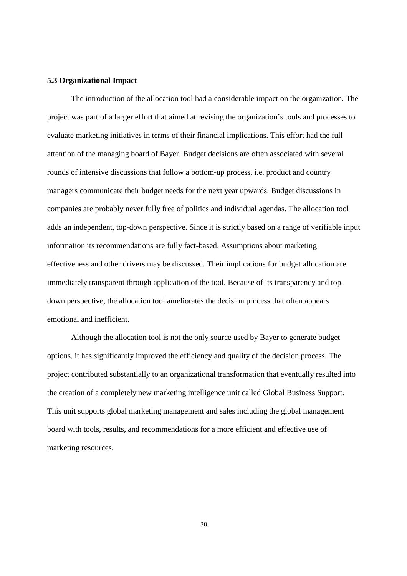#### **5.3 Organizational Impact**

The introduction of the allocation tool had a considerable impact on the organization. The project was part of a larger effort that aimed at revising the organization's tools and processes to evaluate marketing initiatives in terms of their financial implications. This effort had the full attention of the managing board of Bayer. Budget decisions are often associated with several rounds of intensive discussions that follow a bottom-up process, i.e. product and country managers communicate their budget needs for the next year upwards. Budget discussions in companies are probably never fully free of politics and individual agendas. The allocation tool adds an independent, top-down perspective. Since it is strictly based on a range of verifiable input information its recommendations are fully fact-based. Assumptions about marketing effectiveness and other drivers may be discussed. Their implications for budget allocation are immediately transparent through application of the tool. Because of its transparency and topdown perspective, the allocation tool ameliorates the decision process that often appears emotional and inefficient.

Although the allocation tool is not the only source used by Bayer to generate budget options, it has significantly improved the efficiency and quality of the decision process. The project contributed substantially to an organizational transformation that eventually resulted into the creation of a completely new marketing intelligence unit called Global Business Support. This unit supports global marketing management and sales including the global management board with tools, results, and recommendations for a more efficient and effective use of marketing resources.

30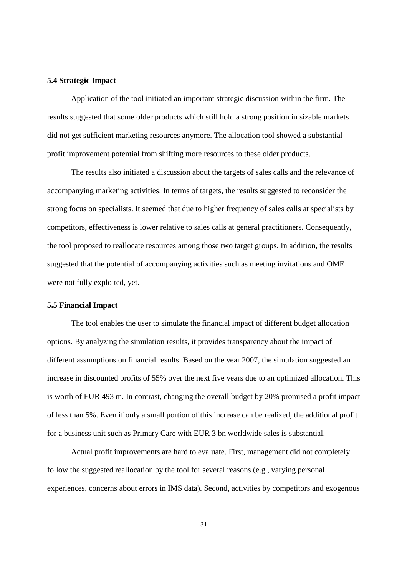#### **5.4 Strategic Impact**

Application of the tool initiated an important strategic discussion within the firm. The results suggested that some older products which still hold a strong position in sizable markets did not get sufficient marketing resources anymore. The allocation tool showed a substantial profit improvement potential from shifting more resources to these older products.

The results also initiated a discussion about the targets of sales calls and the relevance of accompanying marketing activities. In terms of targets, the results suggested to reconsider the strong focus on specialists. It seemed that due to higher frequency of sales calls at specialists by competitors, effectiveness is lower relative to sales calls at general practitioners. Consequently, the tool proposed to reallocate resources among those two target groups. In addition, the results suggested that the potential of accompanying activities such as meeting invitations and OME were not fully exploited, yet.

#### **5.5 Financial Impact**

The tool enables the user to simulate the financial impact of different budget allocation options. By analyzing the simulation results, it provides transparency about the impact of different assumptions on financial results. Based on the year 2007, the simulation suggested an increase in discounted profits of 55% over the next five years due to an optimized allocation. This is worth of EUR 493 m. In contrast, changing the overall budget by 20% promised a profit impact of less than 5%. Even if only a small portion of this increase can be realized, the additional profit for a business unit such as Primary Care with EUR 3 bn worldwide sales is substantial.

Actual profit improvements are hard to evaluate. First, management did not completely follow the suggested reallocation by the tool for several reasons (e.g., varying personal experiences, concerns about errors in IMS data). Second, activities by competitors and exogenous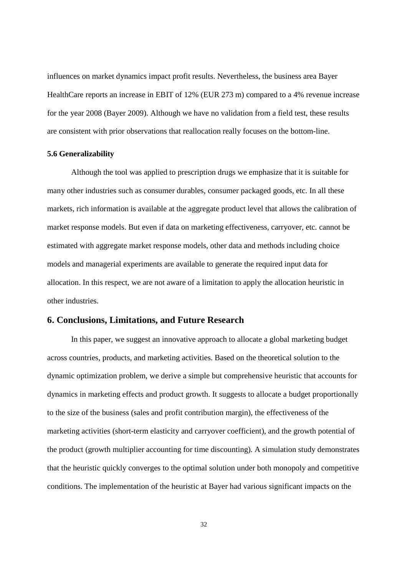influences on market dynamics impact profit results. Nevertheless, the business area Bayer HealthCare reports an increase in EBIT of 12% (EUR 273 m) compared to a 4% revenue increase for the year 2008 (Bayer 2009). Although we have no validation from a field test, these results are consistent with prior observations that reallocation really focuses on the bottom-line.

#### **5.6 Generalizability**

Although the tool was applied to prescription drugs we emphasize that it is suitable for many other industries such as consumer durables, consumer packaged goods, etc. In all these markets, rich information is available at the aggregate product level that allows the calibration of market response models. But even if data on marketing effectiveness, carryover, etc. cannot be estimated with aggregate market response models, other data and methods including choice models and managerial experiments are available to generate the required input data for allocation. In this respect, we are not aware of a limitation to apply the allocation heuristic in other industries.

## **6. Conclusions, Limitations, and Future Research**

In this paper, we suggest an innovative approach to allocate a global marketing budget across countries, products, and marketing activities. Based on the theoretical solution to the dynamic optimization problem, we derive a simple but comprehensive heuristic that accounts for dynamics in marketing effects and product growth. It suggests to allocate a budget proportionally to the size of the business (sales and profit contribution margin), the effectiveness of the marketing activities (short-term elasticity and carryover coefficient), and the growth potential of the product (growth multiplier accounting for time discounting). A simulation study demonstrates that the heuristic quickly converges to the optimal solution under both monopoly and competitive conditions. The implementation of the heuristic at Bayer had various significant impacts on the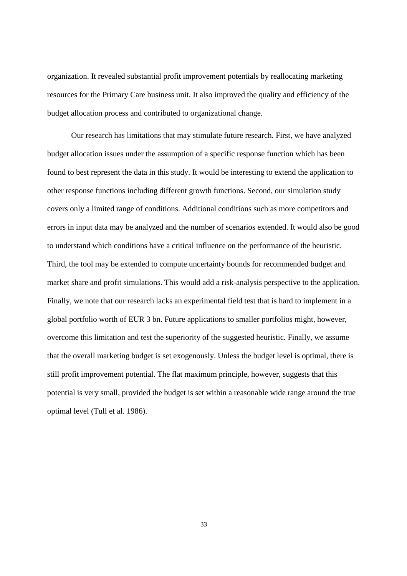organization. It revealed substantial profit improvement potentials by reallocating marketing resources for the Primary Care business unit. It also improved the quality and efficiency of the budget allocation process and contributed to organizational change.

Our research has limitations that may stimulate future research. First, we have analyzed budget allocation issues under the assumption of a specific response function which has been found to best represent the data in this study. It would be interesting to extend the application to other response functions including different growth functions. Second, our simulation study covers only a limited range of conditions. Additional conditions such as more competitors and errors in input data may be analyzed and the number of scenarios extended. It would also be good to understand which conditions have a critical influence on the performance of the heuristic. Third, the tool may be extended to compute uncertainty bounds for recommended budget and market share and profit simulations. This would add a risk-analysis perspective to the application. Finally, we note that our research lacks an experimental field test that is hard to implement in a global portfolio worth of EUR 3 bn. Future applications to smaller portfolios might, however, overcome this limitation and test the superiority of the suggested heuristic. Finally, we assume that the overall marketing budget is set exogenously. Unless the budget level is optimal, there is still profit improvement potential. The flat maximum principle, however, suggests that this potential is very small, provided the budget is set within a reasonable wide range around the true optimal level (Tull et al. 1986).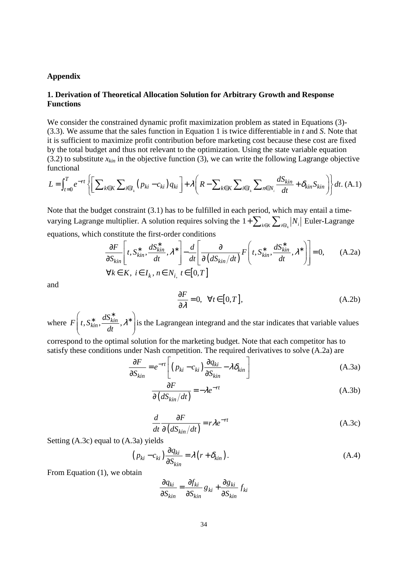#### **Appendix**

## **1. Derivation of Theoretical Allocation Solution for Arbitrary Growth and Response Functions**

We consider the constrained dynamic profit maximization problem as stated in Equations (3)-(3.3). We assume that the sales function in Equation 1 is twice differentiable in *t* and *S*. Note that it is sufficient to maximize profit contribution before marketing cost because these cost are fixed by the total budget and thus not relevant to the optimization. Using the state variable equation (3.2) to substitute  $x_{kin}$  in the objective function (3), we can write the following Lagrange objective functional

$$
L = \int_{t=0}^{T} e^{-rt} \left\{ \left[ \sum_{k \in K} \sum_{i \in I_k} \left( p_{ki} - c_{ki} \right) q_{ki} \right] + \lambda \left( R - \sum_{k \in K} \sum_{i \in I_k} \sum_{n \in N_i} \frac{dS_{kin}}{dt} + \delta_{kin} S_{kin} \right) \right\} dt. \tag{A.1}
$$

Note that the budget constraint (3.1) has to be fulfilled in each period, which may entail a timevarying Lagrange multiplier. A solution requires solving the  $1 + \sum_{k \in K} \sum_{i \in I_k} |N_i|$  Euler-Lagrange equations, which constitute the first-order conditions

$$
\frac{\partial F}{\partial S_{kin}} \left[ t, S_{kin}^*, \frac{dS_{kin}^*}{dt}, \lambda^* \right] - \frac{d}{dt} \left[ \frac{\partial}{\partial (dS_{kin}/dt)} F \left( t, S_{kin}^*, \frac{dS_{kin}^*}{dt}, \lambda^* \right) \right] = 0, \quad (A.2a)
$$
  
\n
$$
\forall k \in K, i \in I_k, n \in N_i, t \in [0, T]
$$

and

$$
\frac{\partial F}{\partial \lambda} = 0, \quad \forall t \in [0, T], \tag{A.2b}
$$

where  $F\left(t, S_{kin}^*, \frac{dS_{kin}^*}{dt}\right)$ , *dt* λ  $\left\{t, S_{kin}^*, \frac{dS_{kin}^*}{dt}, \lambda^*\right\}$  $\begin{pmatrix} dt & f \end{pmatrix}$ is the Lagrangean integrand and the star indicates that variable values

correspond to the optimal solution for the marketing budget. Note that each competitor has to satisfy these conditions under Nash competition. The required derivatives to solve (A.2a) are

$$
\frac{\partial F}{\partial S_{kin}} = e^{-rt} \left[ \left( p_{ki} - c_{ki} \right) \frac{\partial q_{ki}}{\partial S_{kin}} - \lambda \delta_{kin} \right]
$$
(A.3a)

$$
\frac{\partial F}{\partial (dS_{kin}/dt)} = -\lambda e^{-rt}
$$
 (A.3b)

$$
\frac{d}{dt}\frac{\partial F}{\partial (dS_{kin}/dt)} = r\lambda e^{-rt}
$$
\n(A.3c)

Setting (A.3c) equal to (A.3a) yields

$$
\left(p_{ki} - c_{ki}\right) \frac{\partial q_{ki}}{\partial S_{kin}} = \lambda \left(r + \delta_{kin}\right). \tag{A.4}
$$

From Equation (1), we obtain

$$
\frac{\partial q_{ki}}{\partial S_{kin}} = \frac{\partial f_{ki}}{\partial S_{kin}} g_{ki} + \frac{\partial g_{ki}}{\partial S_{kin}} f_{ki}
$$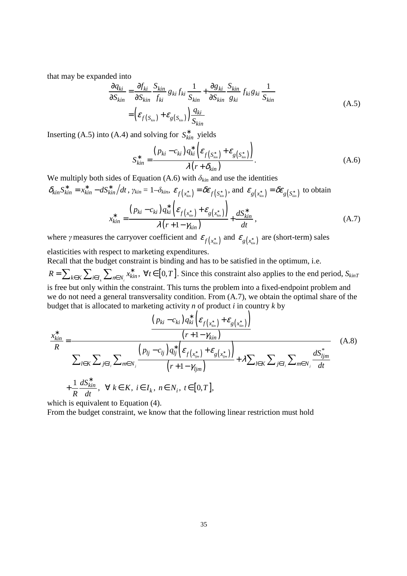that may be expanded into

$$
\frac{\partial q_{ki}}{\partial S_{kin}} = \frac{\partial f_{ki}}{\partial S_{kin}} \frac{S_{kin}}{f_{ki}} g_{ki} f_{ki} \frac{1}{S_{kin}} + \frac{\partial g_{ki}}{\partial S_{kin}} \frac{S_{kin}}{g_{ki}} f_{ki} g_{ki} \frac{1}{S_{kin}}
$$
\n
$$
= \left( \varepsilon_{f(S_{kin})} + \varepsilon_{g(S_{kin})} \right) \frac{q_{ki}}{S_{kin}}
$$
\n(A.5)

Inserting (A.5) into (A.4) and solving for  $S_{kin}^*$  yields

$$
S_{kin}^* = \frac{\left(p_{ki} - c_{ki}\right)q_{ki}^*\left(\varepsilon_{f\left(S_{kin}^*\right)} + \varepsilon_{g\left(S_{kin}^*\right)}\right)}{\lambda\left(r + \delta_{kin}\right)}.
$$
\n(A.6)

We multiply both sides of Equation (A.6) with  $\delta_{kin}$  and use the identities

$$
\delta_{kin} S_{kin}^* = x_{kin}^* - dS_{kin}^* / dt, \gamma_{kin} = 1 - \delta_{kin}, \ \varepsilon_{f(x_{kin}^*)} = \delta \varepsilon_{f(S_{kin}^*)}, \text{ and } \ \varepsilon_{g(x_{kin}^*)} = \delta \varepsilon_{g(S_{kin}^*)} \text{ to obtain}
$$
\n
$$
x_{kin}^* = \frac{(p_{ki} - c_{ki}) q_{ki}^* \left(\varepsilon_{f(x_{kin}^*)} + \varepsilon_{g(x_{kin}^*)}\right)}{\lambda (r + 1 - \gamma_{kin})} + \frac{dS_{kin}^*}{dt}, \tag{A.7}
$$

where *γ* measures the carryover coefficient and  $\varepsilon_{f(x_{kin})}$  and  $\varepsilon_{g(x_{kin})}$  are (short-term) sales

elasticities with respect to marketing expenditures.

Recall that the budget constraint is binding and has to be satisfied in the optimum, i.e.  $R = \sum_{k \in K} \sum_{i \in I_k} \sum_{n \in N_i} x_{kin}^*$ ,  $\forall t \in [0, T]$ . Since this constraint also applies to the end period,  $S_{kinT}$ is free but only within the constraint. This turns the problem into a fixed-endpoint problem and we do not need a general transversality condition. From (A.7), we obtain the optimal share of the budget that is allocated to marketing activity *n* of product *i* in country *k* by

$$
\frac{x_{kin}^{*}}{R} = \frac{\frac{(p_{ki} - c_{ki})q_{ki}^{*} \left(\varepsilon_{f(x_{kin}^{*})} + \varepsilon_{g(x_{kin}^{*})}\right)}{(r+1-\gamma_{kin})}}{\sum_{l \in K} \sum_{j \in I_{l}} \sum_{m \in N_{j}} \frac{\left(p_{lj} - c_{lj}\right)q_{lj}^{*} \left(\varepsilon_{f(x_{ijm}^{*})} + \varepsilon_{g(x_{ijm}^{*})}\right)}{(r+1-\gamma_{ijm})} + \lambda \sum_{l \in K} \sum_{j \in I_{l}} \sum_{m \in N_{j}} \frac{dS_{ljm}^{*}}{dt}
$$
\n
$$
+\frac{1}{R} \frac{dS_{kin}^{*}}{dt}, \ \ \forall \ k \in K, \ i \in I_{k}, \ n \in N_{i}, \ t \in [0, T],
$$
\n
$$
(A.8)
$$

which is equivalent to Equation (4).

From the budget constraint, we know that the following linear restriction must hold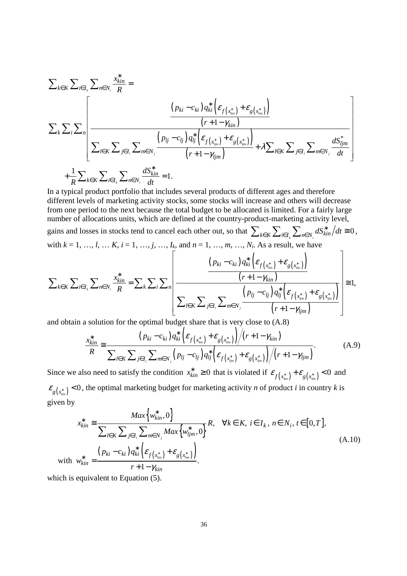$$
\sum_{k \in K} \sum_{i \in I_k} \sum_{m \in N_i} \frac{x_{kin}^*}{R} = \frac{\left(p_{ki} - c_{ki}\right) q_{ki}^* \left(\varepsilon_{f(x_{kin}^*)} + \varepsilon_{g(x_{kin}^*)}\right)}{\left(r + 1 - \gamma_{kin}\right)}
$$
\n
$$
\sum_{k} \sum_{i \in I_k} \sum_{j \in I_i} \sum_{m \in N_j} \frac{\left(p_{lj} - c_{lj}\right) q_{lj}^* \left(\varepsilon_{f(x_{ijm}^*)} + \varepsilon_{g(x_{ijm}^*)}\right)}{\left(r + 1 - \gamma_{ljm}\right)} + \lambda \sum_{l \in K} \sum_{j \in I_l} \sum_{m \in N_j} \frac{dS_{ljm}^*}{dt}
$$
\n
$$
+ \frac{1}{R} \sum_{k \in K} \sum_{i \in I_k} \sum_{n \in N_i} \frac{dS_{kin}^*}{dt} = 1.
$$

In a typical product portfolio that includes several products of different ages and therefore different levels of marketing activity stocks, some stocks will increase and others will decrease from one period to the next because the total budget to be allocated is limited. For a fairly large number of allocations units, which are defined at the country-product-marketing activity level, gains and losses in stocks tend to cancel each other out, so that  $\sum_{k \in K} \sum_{i \in I_k} \sum_{n \in N_i} dS_{kin}^* / dt \approx 0$ , with  $k = 1, ..., l, ..., K$ ,  $i = 1, ..., j, ..., I_k$ , and  $n = 1, ..., m, ..., N_i$ . As a result, we have

$$
\sum_{k \in K} \sum_{i \in I_k} \sum_{m \in N_i} \frac{x_{kin}^*}{R} = \sum_{k} \sum_{i} \sum_{n} \left[ \frac{\left(p_{ki} - c_{ki}\right) q_{ki}^* \left(\varepsilon_{f\left(x_{kin}^*\right)} + \varepsilon_{g\left(x_{kin}^*\right)}\right)}{\left(r + 1 - \gamma_{kin}\right)}\right] \geq 1,
$$

and obtain a solution for the optimal budget share that is very close to (A.8)

$$
\frac{x_{kin}^{*}}{R} \approx \frac{\left(p_{ki} - c_{ki}\right)q_{ki}^{*}\left(\varepsilon_{f\left(x_{kin}^{*}\right)} + \varepsilon_{g\left(x_{kin}^{*}\right)}\right)\big/(r+1-\gamma_{kin})}{\sum_{l \in K} \sum_{j \in I_{l}} \sum_{m \in N_{j}}\left(p_{lj} - c_{lj}\right)q_{lj}^{*}\left(\varepsilon_{f\left(x_{ljm}^{*}\right)} + \varepsilon_{g\left(x_{ljm}^{*}\right)}\right)\big/(r+1-\gamma_{ljm})}.
$$
\n(A.9)

Since we also need to satisfy the condition  $x_{kin}^* \ge 0$  that is violated if  $\varepsilon_{f(x_{kin})} + \varepsilon_{g(x_{kin})} < 0$  and  $\varepsilon_{g(x_{kin}^*)}$  < 0, the optimal marketing budget for marketing activity *n* of product *i* in country *k* is given by

$$
x_{kin}^* \cong \frac{Max\{w_{kin}^*, 0\}}{\sum_{l \in K} \sum_{j \in I_l} \sum_{m \in N_j} Max\{w_{ljm}^*, 0\}} R, \quad \forall k \in K, i \in I_k, n \in N_i, t \in [0, T],
$$
  
\nwith 
$$
w_{kin}^* = \frac{(p_{ki} - c_{ki}) q_{ki}^* \left(\varepsilon_{f(x_{kin})} + \varepsilon_{g(x_{kin})}\right)}{r + 1 - \gamma_{kin}}.
$$
\n(c) is equivalent to Equation (5).

which is equivalent to Equation  $(5)$ .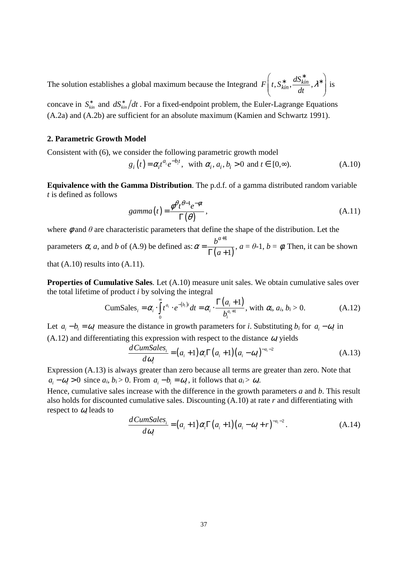The solution establishes a global maximum because the Integrand  $F\left(t, S_{kin}^*, \frac{dS_{kin}^*}{dt},\right)$ *dt* λ  $\left(t, S^*_{kin}, \frac{dS^*_{kin}}{1}, \lambda^*\right)$  $\begin{pmatrix} 1 & 1 \\ 1 & 1 \end{pmatrix}$ is

concave in  $S_{kin}^*$  and  $dS_{kin}^* / dt$ . For a fixed-endpoint problem, the Euler-Lagrange Equations (A.2a) and (A.2b) are sufficient for an absolute maximum (Kamien and Schwartz 1991).

#### **2. Parametric Growth Model**

Consistent with (6), we consider the following parametric growth model

$$
g_i(t) = \alpha_i t^{a_i} e^{-b_i t}, \text{ with } \alpha_i, a_i, b_i > 0 \text{ and } t \in [0, \infty). \tag{A.10}
$$

**Equivalence with the Gamma Distribution**. The p.d.f. of a gamma distributed random variable *t* is defined as follows

$$
gamma(t) = \frac{\phi^{\theta} t^{\theta - 1} e^{-\phi t}}{\Gamma(\theta)},
$$
\n(A.11)

where  $\phi$  and  $\theta$  are characteristic parameters that define the shape of the distribution. Let the

parameters  $\alpha$ , *a*, and *b* of (A.9) be defined as:  $\alpha = \frac{b}{\Gamma(a+1)}$ 1 1 *a b*  $\alpha = \frac{c}{\Gamma(a)}$ + =  $\Gamma(a +$ ,  $a = \theta - 1$ ,  $b = \phi$ . Then, it can be shown

that  $(A.10)$  results into  $(A.11)$ .

**Properties of Cumulative Sales.** Let  $(A.10)$  measure unit sales. We obtain cumulative sales over the total lifetime of product *i* by solving the integral

$$
\text{CumSales}_{i} = \alpha_{i} \cdot \int_{0}^{\infty} t^{a_{i}} \cdot e^{-(b_{i})t} dt = \alpha_{i} \cdot \frac{\Gamma(a_{i}+1)}{b_{i}^{a_{i}+1}}, \text{ with } \alpha_{i}, a_{i}, b_{i} > 0. \tag{A.12}
$$

Let  $a_i - b_i = \omega_i$  measure the distance in growth parameters for *i*. Substituting  $b_i$  for  $a_i - \omega_i$  in  $(A.12)$  and differentiating this expression with respect to the distance  $\omega_i$  yields

$$
\frac{d\textit{CumSales}_i}{d\omega_i} = (a_i + 1)\alpha_i \Gamma(a_i + 1)(a_i - \omega_i)^{-a_i - 2}
$$
\n(A.13)

Expression (A.13) is always greater than zero because all terms are greater than zero. Note that  $a_i - \omega_i > 0$  since  $a_i, b_i > 0$ . From  $a_i - b_i = \omega_i$ , it follows that  $a_i > \omega_i$ .

Hence, cumulative sales increase with the difference in the growth parameters *a* and *b*. This result also holds for discounted cumulative sales. Discounting (A.10) at rate *r* and differentiating with respect to <sup>ω</sup>*<sup>i</sup>* leads to

$$
\frac{d\textit{CumSales}_i}{d\omega_i} = (a_i + 1)\alpha_i \Gamma(a_i + 1)(a_i - \omega_i + r)^{-a_i - 2}.
$$
\n(A.14)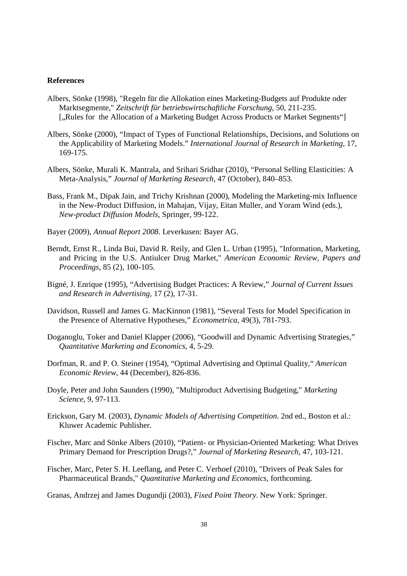#### **References**

- Albers, Sönke (1998), "Regeln für die Allokation eines Marketing-Budgets auf Produkte oder Marktsegmente," *Zeitschrift für betriebswirtschaftliche Forschung*, 50, 211-235. [., Rules for the Allocation of a Marketing Budget Across Products or Market Segments"]
- Albers, Sönke (2000), "Impact of Types of Functional Relationships, Decisions, and Solutions on the Applicability of Marketing Models." *International Journal of Research in Marketing*, 17, 169-175.
- Albers, Sönke, Murali K. Mantrala, and Srihari Sridhar (2010), "Personal Selling Elasticities: A Meta-Analysis," *Journal of Marketing Research*, 47 (October), 840–853.
- Bass, Frank M., Dipak Jain, and Trichy Krishnan (2000), Modeling the Marketing-mix Influence in the New-Product Diffusion, in Mahajan, Vijay, Eitan Muller, and Yoram Wind (eds.), *New-product Diffusion Models*, Springer, 99-122.
- Bayer (2009), *Annual Report 2008*. Leverkusen: Bayer AG.
- Berndt, Ernst R., Linda Bui, David R. Reily, and Glen L. Urban (1995), "Information, Marketing, and Pricing in the U.S. Antiulcer Drug Market," *American Economic Review, Papers and Proceedings*, 85 (2), 100-105.
- Bigné, J. Enrique (1995), "Advertising Budget Practices: A Review," *Journal of Current Issues and Research in Advertising*, 17 (2), 17-31.
- Davidson, Russell and James G. MacKinnon (1981), "Several Tests for Model Specification in the Presence of Alternative Hypotheses," *Econometrica*, 49(3), 781-793.
- Doganoglu, Toker and Daniel Klapper (2006), "Goodwill and Dynamic Advertising Strategies," *Quantitative Marketing and Economics*, 4, 5-29.
- Dorfman, R. and P. O. Steiner (1954), "Optimal Advertising and Optimal Quality," *American Economic Review*, 44 (December), 826-836.
- Doyle, Peter and John Saunders (1990), "Multiproduct Advertising Budgeting," *Marketing Science*, 9, 97-113.
- Erickson, Gary M. (2003), *Dynamic Models of Advertising Competition*. 2nd ed., Boston et al.: Kluwer Academic Publisher.
- Fischer, Marc and Sönke Albers (2010), "Patient- or Physician-Oriented Marketing: What Drives Primary Demand for Prescription Drugs?," *Journal of Marketing Research*, 47, 103-121.
- Fischer, Marc, Peter S. H. Leeflang, and Peter C. Verhoef (2010), "Drivers of Peak Sales for Pharmaceutical Brands," *Quantitative Marketing and Economics*, forthcoming.
- Granas, Andrzej and James Dugundji (2003), *Fixed Point Theory*. New York: Springer.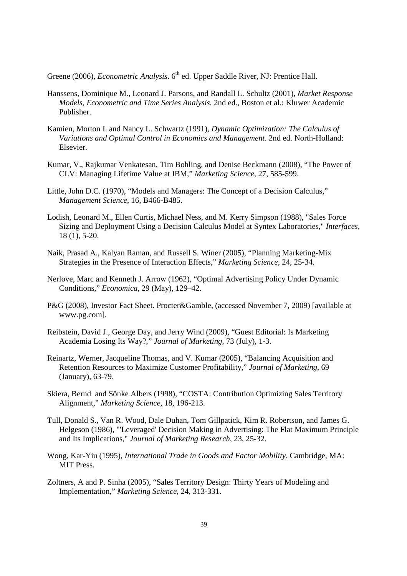Greene (2006), *Econometric Analysis*. 6<sup>th</sup> ed. Upper Saddle River, NJ: Prentice Hall.

- Hanssens, Dominique M., Leonard J. Parsons, and Randall L. Schultz (2001), *Market Response Models, Econometric and Time Series Analysis.* 2nd ed., Boston et al.: Kluwer Academic Publisher.
- Kamien, Morton I. and Nancy L. Schwartz (1991), *Dynamic Optimization: The Calculus of Variations and Optimal Control in Economics and Management*. 2nd ed. North-Holland: Elsevier.
- Kumar, V., Rajkumar Venkatesan, Tim Bohling, and Denise Beckmann (2008), "The Power of CLV: Managing Lifetime Value at IBM," *Marketing Science*, 27, 585-599.
- Little, John D.C. (1970), "Models and Managers: The Concept of a Decision Calculus," *Management Science*, 16, B466-B485.
- Lodish, Leonard M., Ellen Curtis, Michael Ness, and M. Kerry Simpson (1988), "Sales Force Sizing and Deployment Using a Decision Calculus Model at Syntex Laboratories," *Interfaces*, 18 (1), 5-20.
- Naik, Prasad A., Kalyan Raman, and Russell S. Winer (2005), "Planning Marketing-Mix Strategies in the Presence of Interaction Effects," *Marketing Science*, 24, 25-34.
- Nerlove, Marc and Kenneth J. Arrow (1962), "Optimal Advertising Policy Under Dynamic Conditions," *Economica*, 29 (May), 129–42.
- P&G (2008), Investor Fact Sheet. Procter&Gamble, (accessed November 7, 2009) [available at www.pg.com].
- Reibstein, David J., George Day, and Jerry Wind (2009), "Guest Editorial: Is Marketing Academia Losing Its Way?," *Journal of Marketing*, 73 (July), 1-3.
- Reinartz, Werner, Jacqueline Thomas, and V. Kumar (2005), "Balancing Acquisition and Retention Resources to Maximize Customer Profitability," *Journal of Marketing*, 69 (January), 63-79.
- Skiera, Bernd and Sönke Albers (1998), "COSTA: Contribution Optimizing Sales Territory Alignment," *Marketing Science*, 18, 196-213.
- Tull, Donald S., Van R. Wood, Dale Duhan, Tom Gillpatick, Kim R. Robertson, and James G. Helgeson (1986), "'Leveraged' Decision Making in Advertising: The Flat Maximum Principle and Its Implications," *Journal of Marketing Research*, 23, 25-32.
- Wong, Kar-Yiu (1995), *International Trade in Goods and Factor Mobility*. Cambridge, MA: MIT Press.
- Zoltners, A and P. Sinha (2005), "Sales Territory Design: Thirty Years of Modeling and Implementation," *Marketing Science*, 24, 313-331.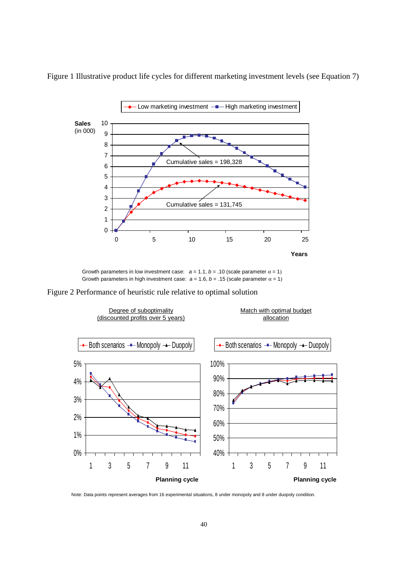

Figure 1 Illustrative product life cycles for different marketing investment levels (see Equation 7)

Growth parameters in low investment case:  $a = 1.1$ ,  $b = .10$  (scale parameter  $\alpha = 1$ ) Growth parameters in high investment case:  $a = 1.6$ ,  $b = .15$  (scale parameter  $\alpha = 1$ )

Figure 2 Performance of heuristic rule relative to optimal solution



Note: Data points represent averages from 16 experimental situations, 8 under monopoly and 8 under duopoly condition.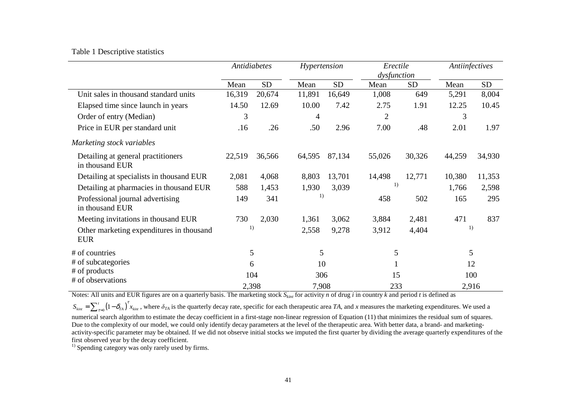## Table 1 Descriptive statistics

|                                                        | Antidiabetes |           | Hypertension |           | Erectile<br>dysfunction |           | Antiinfectives |           |
|--------------------------------------------------------|--------------|-----------|--------------|-----------|-------------------------|-----------|----------------|-----------|
|                                                        | Mean         | <b>SD</b> | Mean         | <b>SD</b> | Mean                    | <b>SD</b> | Mean           | <b>SD</b> |
| Unit sales in thousand standard units                  | 16,319       | 20,674    | 11,891       | 16,649    | 1,008                   | 649       | 5,291          | 8,004     |
| Elapsed time since launch in years                     | 14.50        | 12.69     | 10.00        | 7.42      | 2.75                    | 1.91      | 12.25          | 10.45     |
| Order of entry (Median)                                | 3            |           | 4            |           | $\overline{2}$          |           | 3              |           |
| Price in EUR per standard unit                         | .16          | .26       | .50          | 2.96      | 7.00                    | .48       | 2.01           | 1.97      |
| Marketing stock variables                              |              |           |              |           |                         |           |                |           |
| Detailing at general practitioners<br>in thousand EUR  | 22,519       | 36,566    | 64,595       | 87,134    | 55,026                  | 30,326    | 44,259         | 34,930    |
| Detailing at specialists in thousand EUR               | 2,081        | 4,068     | 8,803        | 13,701    | 14,498                  | 12,771    | 10,380         | 11,353    |
| Detailing at pharmacies in thousand EUR                | 588          | 1,453     | 1,930        | 3,039     | 1)                      |           | 1,766          | 2,598     |
| Professional journal advertising<br>in thousand EUR    | 149          | 341       | 1)           |           | 458                     | 502       | 165            | 295       |
| Meeting invitations in thousand EUR                    | 730          | 2,030     | 1,361        | 3,062     | 3,884                   | 2,481     | 471            | 837       |
| Other marketing expenditures in thousand<br><b>EUR</b> |              | 1)        | 2,558        | 9,278     | 3,912                   | 4,404     | 1)             |           |
| # of countries                                         | 5            |           | 5            |           | 5                       |           |                | 5         |
| # of subcategories                                     |              | 6         | 10           |           |                         |           | 12             |           |
| # of products                                          | 104          |           | 306          |           | 15                      |           | 100            |           |
| # of observations                                      | 2,398        |           | 7,908        |           | 233                     |           | 2,916          |           |

Notes: All units and EUR figures are on a quarterly basis. The marketing stock *Skint* for activity *n* of drug *i* in country *k* and period *t* is defined as

 $S_{\text{kin}} = \sum_{\tau=0}^{t} (1 - \delta_{\text{TA}})^{\tau} x_{\text{kin}}$ , where  $\delta_{\text{TA}}$  is the quarterly decay rate, specific for each therapeutic area *TA*, and *x* measures the marketing expenditures. We used a numerical search algorithm to esti numerical search algorithm to estimate the decay coefficient in a first-stage non-linear regression of Equation (11) that minimizes the residual sum of squares. Due to the complexity of our model, we could only identify decay parameters at the level of the therapeutic area. With better data, a brand- and marketingactivity-specific parameter may be obtained. If we did not observe initial stocks we imputed the first quarter by dividing the average quarterly expenditures of the first observed year by the decay coefficient.

<sup>1)</sup> Spending category was only rarely used by firms.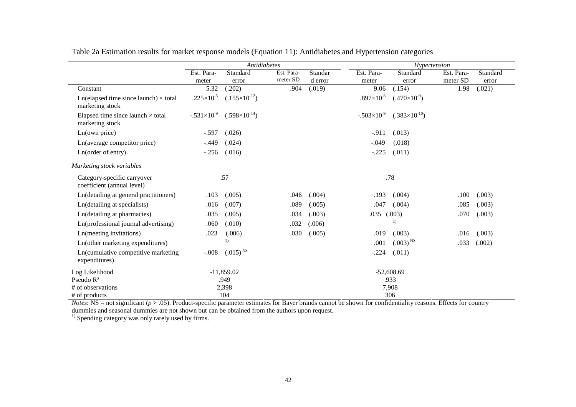|                                                                    | Antidiabetes         |                        |            |         |                     | Hypertension           |            |          |  |  |
|--------------------------------------------------------------------|----------------------|------------------------|------------|---------|---------------------|------------------------|------------|----------|--|--|
|                                                                    | Est. Para-           | Standard               | Est. Para- | Standar | Est. Para-          | Standard               | Est. Para- | Standard |  |  |
|                                                                    | meter                | error                  | meter SD   | d error | meter               | error                  | meter SD   | error    |  |  |
| Constant                                                           | 5.32                 | (.202)                 | .904       | (.019)  | 9.06                | (.154)                 | 1.98       | (.021)   |  |  |
| $Ln$ (elapsed time since launch) $\times$ total<br>marketing stock | $.225\times10^{-5}$  | $(.155\times10^{-12})$ |            |         | $.897\times10^{-8}$ | $(.470\times10^{-9})$  |            |          |  |  |
| Elapsed time since launch $\times$ total<br>marketing stock        | $-.531\times10^{-9}$ | $(.598\times10^{-14})$ |            |         | $-.503\times10^{9}$ | $(.383\times10^{-10})$ |            |          |  |  |
| Ln(own price)                                                      | $-.597$              | (.026)                 |            |         | $-.911$             | (.013)                 |            |          |  |  |
| Ln(average competitor price)                                       | $-.449$              | (.024)                 |            |         | $-.049$             | (.018)                 |            |          |  |  |
| Ln(order of entry)                                                 | $-.256$              | (.016)                 |            |         | $-.225$             | (.011)                 |            |          |  |  |
| Marketing stock variables                                          |                      |                        |            |         |                     |                        |            |          |  |  |
| Category-specific carryover<br>coefficient (annual level)          |                      | .57                    |            |         |                     | .78                    |            |          |  |  |
| Ln(detailing at general practitioners)                             | .103                 | (.005)                 | .046       | (.004)  | .193                | (.004)                 | .100       | (.003)   |  |  |
| Ln(detailing at specialists)                                       | .016                 | (.007)                 | .089       | (.005)  | .047                | (.004)                 | .085       | (.003)   |  |  |
| Ln(detailing at pharmacies)                                        | .035                 | (.005)                 | .034       | (.003)  | .035                | (.003)                 | .070       | (.003)   |  |  |
| Ln(professional journal advertising)                               | .060                 | (.010)                 | .032       | (.006)  |                     | $\left( \right)$       |            |          |  |  |
| Ln(meeting invitations)                                            | .023                 | (.006)                 | .030       | (.005)  | .019                | (.003)                 | .016       | (.003)   |  |  |
| Ln(other marketing expenditures)                                   |                      | 1)                     |            |         | .001                | $(.003)^{NS}$          | .033       | (.002)   |  |  |
| Ln(cumulative competitive marketing<br>expenditures)               | $-.008$              | $(.015)^{NS}$          |            |         | $-.224$             | (.011)                 |            |          |  |  |
| Log Likelihood                                                     |                      | $-11,859.02$           |            |         |                     | $-52,608.69$           |            |          |  |  |
| Pseudo R <sup>2</sup>                                              |                      | .949                   |            |         |                     | .933                   |            |          |  |  |
| # of observations                                                  |                      | 2,398                  |            |         |                     | 7,908                  |            |          |  |  |
| # of products                                                      |                      | 104                    |            |         |                     | 306                    |            |          |  |  |

Table 2a Estimation results for market response models (Equation 11): Antidiabetes and Hypertension categories

 $\frac{\text{4}}{\text{Notes}}$  SO6<br>*Notes*: NS = not significant ( $p > .05$ ). Product-specific parameter estimates for Bayer brands cannot be shown for confidentiality reasons. Effects for country dummies and seasonal dummies are not shown

<sup>1)</sup> Spending category was only rarely used by firms.